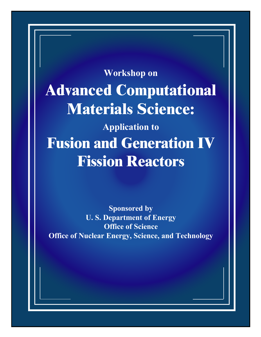**Advanced Computational Materials Science: Fusion and Generation IV Fission Reactors Workshop on Application to**

**Sponsored by U. S. Department of Energy Office of Science Office of Nuclear Energy, Science, and Technology**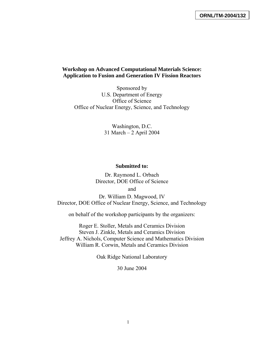# **Workshop on Advanced Computational Materials Science: Application to Fusion and Generation IV Fission Reactors**

Sponsored by U.S. Department of Energy Office of Science Office of Nuclear Energy, Science, and Technology

> Washington, D.C. 31 March – 2 April 2004

# **Submitted to:**

Dr. Raymond L. Orbach Director, DOE Office of Science

and

Dr. William D. Magwood, IV Director, DOE Office of Nuclear Energy, Science, and Technology

on behalf of the workshop participants by the organizers:

Roger E. Stoller, Metals and Ceramics Division Steven J. Zinkle, Metals and Ceramics Division Jeffrey A. Nichols, Computer Science and Mathematics Division William R. Corwin, Metals and Ceramics Division

Oak Ridge National Laboratory

30 June 2004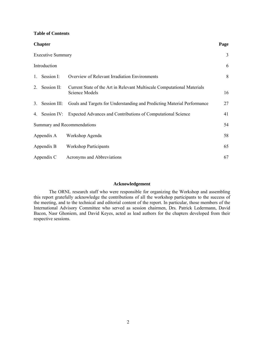# **Table of Contents**

|                                          | <b>Chapter</b>           |                                                                                           | Page |
|------------------------------------------|--------------------------|-------------------------------------------------------------------------------------------|------|
|                                          | <b>Executive Summary</b> |                                                                                           | 3    |
|                                          | Introduction             |                                                                                           | 6    |
| 1.                                       | Session I:               | Overview of Relevant Irradiation Environments                                             | 8    |
| 2.                                       | Session II:              | Current State of the Art in Relevant Multiscale Computational Materials<br>Science Models | 16   |
|                                          | 3. Session III:          | Goals and Targets for Understanding and Predicting Material Performance                   | 27   |
|                                          | 4. Session IV:           | Expected Advances and Contributions of Computational Science                              | 41   |
| Summary and Recommendations              |                          |                                                                                           | 54   |
| Workshop Agenda<br>Appendix A            |                          | 58                                                                                        |      |
|                                          | Appendix B               | <b>Workshop Participants</b>                                                              | 65   |
| Appendix C<br>Acronyms and Abbreviations |                          | 67                                                                                        |      |

## **Acknowledgement**

The ORNL research staff who were responsible for organizing the Workshop and assembling this report gratefully acknowledge the contributions of all the workshop participants to the success of the meeting, and to the technical and editorial content of the report. In particular, those members of the International Advisory Committee who served as session chairmen, Drs. Patrick Ledermann, David Bacon, Nasr Ghoniem, and David Keyes, acted as lead authors for the chapters developed from their respective sessions.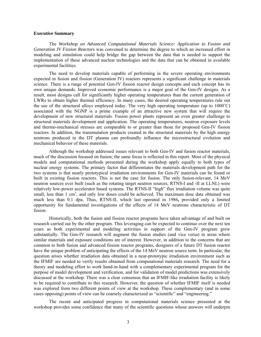#### **Executive Summary**

The *Workshop on Advanced Computational Materials Science: Application to Fusion and Generation IV Fission Reactors* was convened to determine the degree to which an increased effort in modeling and simulation could help bridge the gap between the data that is needed to support the implementation of these advanced nuclear technologies and the data that can be obtained in available experimental facilities.

The need to develop materials capable of performing in the severe operating environments expected in fusion and fission (Generation IV) reactors represents a significant challenge in materials science. There is a range of potential Gen-IV fission reactor design concepts and each concept has its own unique demands. Improved economic performance is a major goal of the Gen-IV designs. As a result, most designs call for significantly higher operating temperatures than the current generation of LWRs to obtain higher thermal efficiency. In many cases, the desired operating temperatures rule out the use of the structural alloys employed today. The very high operating temperature (up to 1000˚C) associated with the NGNP is a prime example of an attractive new system that will require the development of new structural materials. Fusion power plants represent an even greater challenge to structural materials development and application. The operating temperatures, neutron exposure levels and thermo-mechanical stresses are comparable to or greater than those for proposed Gen-IV fission reactors. In addition, the transmutation products created in the structural materials by the high energy neutrons produced in the DT plasma can profoundly influence the microstructural evolution and mechanical behavior of these materials.

Although the workshop addressed issues relevant to both Gen-IV and fusion reactor materials, much of the discussion focused on fusion; the same focus is reflected in this report. Most of the physical models and computational methods presented during the workshop apply equally to both types of nuclear energy systems. The primary factor that differentiates the materials development path for the two systems is that nearly prototypical irradiation environments for Gen-IV materials can be found or built in existing fission reactors. This is not the case for fusion. The only fusion-relevant, 14 MeV neutron sources ever built (such as the rotating target neutron sources, RTNS-I and -II at LLNL) were relatively low-power accelerator based systems. The RTNS-II "high" flux irradiation volume was quite small, less than 1 cm<sup>3</sup>, and only low doses could be achieved. The maximum dose data obtained was much less than 0.1 dpa. Thus, RTNS-II, which last operated in 1986**,** provided only a limited opportunity for fundamental investigations of the effects of 14 MeV neutrons characteristic of DT fusion.

Historically, both the fusion and fission reactor programs have taken advantage of and built on research carried out by the other program. This leveraging can be expected to continue over the next ten years as both experimental and modeling activities in support of the Gen-IV program grow substantially. The Gen-IV research will augment the fusion studies (and vice versa) in areas where similar materials and exposure conditions are of interest. However, in addition to the concerns that are common to both fusion and advanced fission reactor programs, designers of a future DT fusion reactor have the unique problem of anticipating the effects of the 14 MeV neutron source term. In particular, the question arises whether irradiation data obtained in a near-prototypic irradiation environment such as the IFMIF are needed to verify results obtained from computational materials research. The need for a theory and modeling effort to work hand-in-hand with a complementary experimental program for the purpose of model development and verification, and for validation of model predictions was extensively discussed at the workshop. There was a clear consensus that an IFMIF-like irradiation facility is likely to be required to contribute to this research. However, the question of whether IFMIF itself is needed was explored from two different points of view at the workshop. These complementary (and in some cases opposing) points of view can be coarsely characterized as "scientific" and "engineering."

The recent and anticipated progress in computational materials science presented at the workshop provides some confidence that many of the scientific questions whose answers will underpin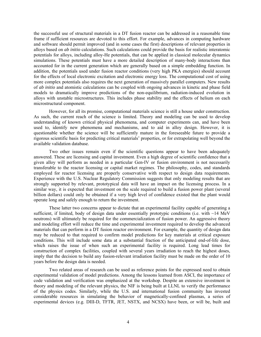the successful use of structural materials in a DT fusion reactor can be addressed in a reasonable time frame if sufficient resources are devoted to this effort. For example, advances in computing hardware and software should permit improved (and in some cases the first) descriptions of relevant properties in alloys based on *ab initio* calculations. Such calculations could provide the basis for realistic interatomic potentials for alloys, including alloy-He potentials, that can be applied in classical molecular dynamics simulations. These potentials must have a more detailed description of many-body interactions than accounted for in the current generation which are generally based on a simple embedding function. In addition, the potentials used under fusion reactor conditions (very high PKA energies) should account for the effects of local electronic excitation and electronic energy loss. The computational cost of using more complex potentials also requires the next generation of massively parallel computers. New results of *ab initio* and atomistic calculations can be coupled with ongoing advances in kinetic and phase field models to dramatically improve predictions of the non-equilibrium, radiation-induced evolution in alloys with unstable microstructures. This includes phase stability and the effects of helium on each microstructural component.

However, for all its promise, computational materials science is still a house under construction. As such, the current reach of the science is limited. Theory and modeling can be used to develop understanding of known critical physical phenomena, and computer experiments can, and have been used to, identify new phenomena and mechanisms, and to aid in alloy design. However, it is questionable whether the science will be sufficiently mature in the foreseeable future to provide a rigorous scientific basis for predicting critical materials' properties, or for extrapolating well beyond the available validation database.

Two other issues remain even if the scientific questions appear to have been adequately answered. These are licensing and capital investment. Even a high degree of scientific confidence that a given alloy will perform as needed in a particular Gen-IV or fusion environment is not necessarily transferable to the reactor licensing or capital market regimes. The philosophy, codes, and standards employed for reactor licensing are properly conservative with respect to design data requirements. Experience with the U.S. Nuclear Regulatory Commission suggests that only modeling results that are strongly supported by relevant, prototypical data will have an impact on the licensing process. In a similar way, it is expected that investment on the scale required to build a fusion power plant (several billion dollars) could only be obtained if a very high level of confidence existed that the plant would operate long and safely enough to return the investment.

These latter two concerns appear to dictate that an experimental facility capable of generating a sufficient, if limited, body of design data under essentially prototypic conditions (i.e. with  $\sim$ 14 MeV neutrons) will ultimately be required for the commercialization of fusion power. An aggressive theory and modeling effort will reduce the time and experimental investment required to develop the advanced materials that can perform in a DT fusion reactor environment. For example, the quantity of design data may be reduced to that required to confirm model predictions for key materials at critical exposure conditions. This will include some data at a substantial fraction of the anticipated end-of-life dose, which raises the issue of when such an experimental facility is required. Long lead times for construction of complex facilities, coupled with several years irradiation to reach the highest doses, imply that the decision to build any fusion-relevant irradiation facility must be made on the order of 10 years before the design data is needed.

Two related areas of research can be used as reference points for the expressed need to obtain experimental validation of model predictions. Among the lessons learned from ASCI, the importance of code validation and verification was emphasized at the workshop. Despite an extensive investment in theory and modeling of the relevant physics, the NIF is being built at LLNL to verify the performance of the physics codes. Similarly, while the U.S. and international fusion community has invested considerable resources in simulating the behavior of magnetically-confined plasmas, a series of experimental devices (e.g. DIII-D, TFTR, JET, NSTX, and NCSX) have been, or will be, built and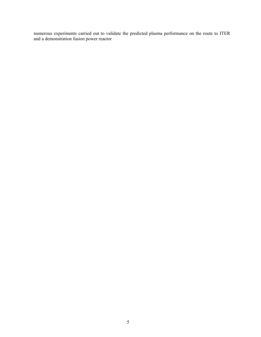numerous experiments carried out to validate the predicted plasma performance on the route to ITER and a demonstration fusion power reactor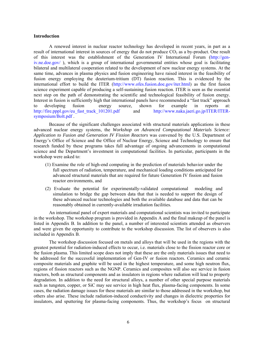#### **Introduction**

A renewed interest in nuclear reactor technology has developed in recent years, in part as a result of international interest in sources of energy that do not produce  $CO<sub>2</sub>$  as a by-product. One result of this interest was the establishment of the Generation IV International Forum (http://geniv.ne.doe.gov/ ), which is a group of international governmental entities whose goal is facilitating bilateral and multilateral cooperation related to the development of new nuclear energy systems. At the same time, advances in plasma physics and fusion engineering have raised interest in the feasibility of fusion energy employing the deuterium-tritium (DT) fusion reaction. This is evidenced by the international effort to build the ITER (http://www.ofes.fusion.doe.gov/iter.html) as the first fusion science experiment capable of producing a self-sustaining fusion reaction. ITER is seen as the essential next step on the path of demonstrating the scientific and technological feasibility of fusion energy. Interest in fusion is sufficiently high that international panels have recommended a "fast track" approach to developing fusion energy source, shown for example in reports at: http://fire.pppl.gov/eu fast track 101201.pdf and http://www.naka.jaeri.go.jp/ITER/ITERsymposium/Bolt.pdf .

Because of the significant challenges associated with structural materials applications in these advanced nuclear energy systems, the *Workshop on Advanced Computational Materials Science: Application to Fusion and Generation IV Fission Reactors* was convened by the U.S. Department of Energy's Office of Science and the Office of Nuclear Energy, Science and Technology to ensure that research funded by these programs takes full advantage of ongoing advancements in computational science and the Department's investment in computational facilities. In particular, participants in the workshop were asked to:

- (1) Examine the role of high-end computing in the prediction of materials behavior under the full spectrum of radiation, temperature, and mechanical loading conditions anticipated for advanced structural materials that are required for future Generation IV fission and fusion reactor environments, and
- (2) Evaluate the potential for experimentally-validated computational modeling and simulation to bridge the gap between data that that is needed to support the design of these advanced nuclear technologies and both the available database and data that can be reasonably obtained in currently-available irradiation facilities.

An international panel of expert materials and computational scientists was invited to participate in the workshop. The workshop program is provided in Appendix A and the final makeup of the panel is listed in Appendix B. In addition to the panel, a number of interested scientists attended as observers and were given the opportunity to contribute to the workshop discussion. The list of observers is also included in Appendix B.

The workshop discussion focused on metals and alloys that will be used in the regions with the greatest potential for radiation-induced effects to occur, i.e. materials close to the fission reactor core or the fusion plasma. This limited scope does not imply that these are the only materials issues that need to be addressed for the successful implementation of Gen-IV or fusion reactors. Ceramics and ceramic composite materials and graphite will be used in the highest temperature, and some high neutron flux, regions of fission reactors such as the NGNP. Ceramics and composites will also see service in fusion reactors, both as structural components and as insulators in regions where radiation will lead to property degradation. In addition to the need for structural alloys, a number of other special purpose materials such as tungsten, copper, or SiC may see service in high heat flux, plasma-facing components. In some cases, the radiation damage issues for these materials are similar to those addressed in the workshop, but others also arise. These include radiation-induced conductivity and changes in dielectric properties for insulators, and sputtering for plasma-facing components. Thus, the workshop's focus on structural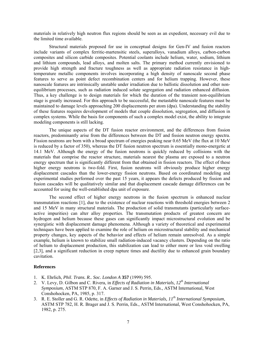materials in relatively high neutron flux regions should be seen as an expedient, necessary evil due to the limited time available.

Structural materials proposed for use in conceptual designs for Gen-IV and fusion reactors include variants of complex ferritic-martensitic steels, superalloys, vanadium alloys, carbon-carbon composites and silicon carbide composites. Potential coolants include helium, water, sodium, lithium and lithium compounds, lead alloys, and molten salts. The primary method currently envisioned to provide high strength and fracture toughness as well as appropriate radiation resistance in hightemperature metallic components involves incorporating a high density of nanoscale second phase features to serve as point defect recombination centers and for helium trapping. However, these nanoscale features are intrinsically unstable under irradiation due to ballistic dissolution and other nonequilibrium processes, such as radiation induced solute segregation and radiation enhanced diffusion. Thus, a key challenge is to design materials for which the duration of the transient non-equilibrium stage is greatly increased. For this approach to be successful, the metastable nanoscale features must be maintained to damage levels approaching 200 displacements per atom (dpa). Understanding the stability of these features requires development of models that couple dissolution, segregation, and diffusion in complex systems. While the basis for components of such a complex model exist, the ability to integrate modeling components is still lacking.

The unique aspects of the DT fusion reactor environment, and the differences from fission reactors, predominantly arise from the differences between the DT and fission neutron energy spectra. Fission neutrons are born with a broad spectrum of energies peaking near 0.65 MeV (the flux at 10 MeV is reduced by a factor of 350), whereas the DT fusion neutron spectrum is essentially mono-energetic at 14.1 MeV. Although the energy of the fusion neutrons is quickly reduced by collisions with the materials that comprise the reactor structure, materials nearest the plasma are exposed to a neutron energy spectrum that is significantly different from that obtained in fission reactors. The effect of these higher energy neutrons is two-fold. First, fusion neutrons will obviously produce higher energy displacement cascades than the lower-energy fission neutrons. Based on coordinated modeling and experimental studies performed over the past 15 years, it appears the defects produced by fission and fusion cascades will be qualitatively similar and that displacement cascade damage differences can be accounted for using the well-established dpa unit of exposure.

The second effect of higher energy neutrons in the fusion spectrum is enhanced nuclear transmutation reactions [1], due to the existence of nuclear reactions with threshold energies between 2 and 15 MeV in many structural materials. The production of solid transmutants (particularly surfaceactive impurities) can alter alloy properties. The transmutation products of greatest concern are hydrogen and helium because these gases can significantly impact microstructural evolution and be synergistic with displacement damage phenomena. Although a variety of theoretical and experimental techniques have been applied to examine the role of helium on microstructural stability and mechanical property changes, key aspects of the behavior and effects of helium remain unresolved. As a simple example, helium is known to stabilize small radiation-induced vacancy clusters. Depending on the ratio of helium to displacement production, this stabilization can lead to either more or less void swelling [2,3], and a significant reduction in creep rupture times and ductility due to enhanced grain boundary cavitation.

## **References**

- 1. K. Ehrlich, *Phil*. *Trans. R.. Soc. London A* **357** (1999) 595.
- 2. V. Levy, D. Gilbon and C. Rivera, in *Effects of Radiation in Materials, 12<sup>th</sup> International Symposium*, ASTM STP 870, F. A. Garner and J. S. Perrin, Eds., ASTM International, West Conshohocken, PA, 1985, p. 317.
- 3. R. E. Stoller and G. R. Odette, in *Effects of Radiation in Materials, 11th International Symposium*, ASTM STP 782, H. R. Brager and J. S. Perrin, Eds., ASTM International, West Conshohocken, PA, 1982, p. 275.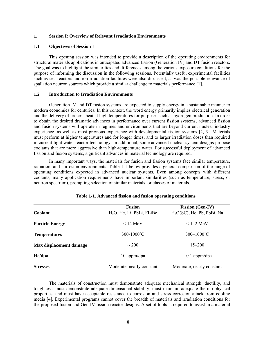# **1. Session I: Overview of Relevant Irradiation Environments**

#### **1.1 Objectives of Session I**

This opening session was intended to provide a description of the operating environments for structural materials applications in anticipated advanced fission (Generation IV) and DT fusion reactors. The goal was to highlight the similarities and differences among the various exposure conditions for the purpose of informing the discussion in the following sessions. Potentially useful experimental facilities such as test reactors and ion irradiation facilities were also discussed, as was the possible relevance of spallation neutron sources which provide a similar challenge to materials performance [1].

# **1.2 Introduction to Irradiation Environments**

Generation IV and DT fusion systems are expected to supply energy in a sustainable manner to modern economies for centuries. In this context, the word energy primarily implies electrical generation and the delivery of process heat at high temperatures for purposes such as hydrogen production. In order to obtain the desired dramatic advances in performance over current fission systems, advanced fission and fusion systems will operate in regimes and environments that are beyond current nuclear industry experience, as well as most previous experience with developmental fission systems [2, 3]. Materials must perform at higher temperatures and for longer times, and to larger irradiation doses than required in current light water reactor technology. In additional, some advanced nuclear system designs propose coolants that are more aggressive than high-temperature water. For successful deployment of advanced fission and fusion systems, significant advances in material technology are required.

In many important ways, the materials for fusion and fission systems face similar temperature, radiation, and corrosion environments. Table 1-1 below provides a general comparison of the range of operating conditions expected in advanced nuclear systems. Even among concepts with different coolants, many application requirements have important similarities (such as temperature, stress, or neutron spectrum), prompting selection of similar materials, or classes of materials.

|                         | <b>Fusion</b>               | <b>Fission (Gen-IV)</b>      |
|-------------------------|-----------------------------|------------------------------|
| Coolant                 | $H2O$ , He, Li, PbLi, FLiBe | $H2O(SC)$ , He, Pb, PbBi, Na |
| <b>Particle Energy</b>  | $< 14$ MeV                  | $< 1 - 2$ MeV                |
| <b>Temperatures</b>     | $300 - 1000^{\circ}C$       | $300 - 1000$ °C              |
| Max displacement damage | $\sim$ 200                  | $15 - 200$                   |
| He/dpa                  | $10$ appm/dpa               | $\sim 0.1$ appm/dpa          |
| <b>Stresses</b>         | Moderate, nearly constant   | Moderate, nearly constant    |
|                         |                             |                              |

# **Table 1-1. Advanced fission and fusion operating conditions**

The materials of construction must demonstrate adequate mechanical strength, ductility, and toughness, must demonstrate adequate dimensional stability, must maintain adequate thermo-physical properties, and must have acceptable resistance to corrosion and stress corrosion attack from cooling media [4]. Experimental programs cannot cover the breadth of materials and irradiation conditions for the proposed fusion and Gen-IV fission reactor designs. A set of tools is required to assist in a material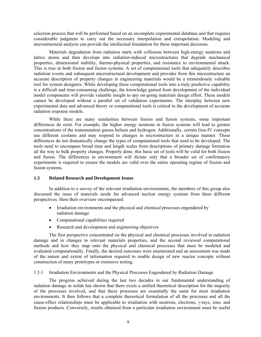selection process that will be performed based on an incomplete experimental database and that requires considerable judgment to carry out the necessary interpolation and extrapolation. Modeling and microstructural analysis can provide the intellectual foundation for these important decisions.

Materials degradation from radiation starts with collisions between high-energy neutrons and lattice atoms and then develops into radiation-induced microstructures that degrade mechanical properties, dimensional stability, thermo-physical properties, and resistance to environmental attack. This is true in both fission and fusion systems. A set of computational tools that adequately describes radiation events and subsequent microstructural development and provides from this microstructure an accurate description of property changes in engineering materials would be a tremendously valuable tool for system designers. While developing these computational tools into a truly predictive capability is a difficult and time-consuming challenge, the knowledge gained from development of the individual model components will provide valuable insight to any on-going materials design effort. These models cannot be developed without a parallel set of validation experiments. The interplay between new experimental data and advanced theory or computational tools is critical to the development of accurate radiation response models.

While there are many similarities between fission and fusion systems, some important differences do exist. For example, the higher energy neutrons in fusion systems will lead to greater concentrations of the transmutation gasses helium and hydrogen. Additionally, certain Gen-IV concepts use different coolants and may respond to changes in microstructure in a unique manner. These differences do not dramatically change the types of computational tools that need to be developed. The tools need to encompass broad time and length scales from descriptions of primary damage formation all the way to bulk property changes. Properly done, this basic set of tools will be valid for both fission and fusion. The differences in environment will dictate only that a broader set of confirmatory experiments is required to ensure the models are valid over the entire operating regime of fission and fusion systems.

# **1.3 Related Research and Development Issues**

In addition to a survey of the relevant irradiation environments, the members of this group also discussed the issue of materials needs for advanced nuclear energy systems from three different perspectives. Here their overview encompassed:

- Irradiation environments and the physical and chemical processes engendered by radiation damage
- Computational capabilities required
- Research and development and engineering objectives

The first perspective concentrated on the physical and chemical processes involved in radiation damage and in changes to relevant materials properties, and the second reviewed computational methods and how they map onto the physical and chemical processes that must be modeled and evaluated computationally. Finally, the desired outcomes were enumerated and an assessment was made of the nature and extent of information required to enable design of new reactor concepts without construction of many prototypes or extensive testing.

1.3.1 Irradiation Environments and the Physical Processes Engendered by Radiation Damage

The progress achieved during the last two decades in our fundamental understanding of radiation damage in solids has shown that there exists a unified theoretical description for the majority of the processes involved, and that these processes are essentially the same for most irradiation environments. It then follows that a complete theoretical formulation of all the processes and all the cause-effect relationships must be applicable to irradiation with neutrons, electrons, γ-rays, ions, and fission products. Conversely, results obtained from a particular irradiation environment must be useful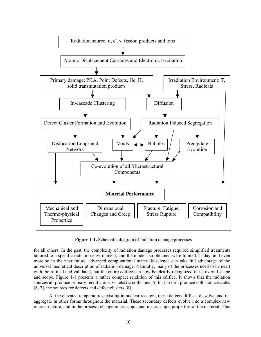

**Figure 1-1.** Schematic diagram of radiation damage processes

for all others. In the past, the complexity of radiation damage processes required simplified treatments tailored to a specific radiation environment, and the models so obtained were limited. Today, and even more so in the near future, advanced computational materials science can take full advantage of the universal theoretical description of radiation damage. Naturally, many of the processes need to be dealt with, be refined and validated, but the entire edifice can now be clearly recognized in its overall shape and scope. Figure 1-1 presents a rather compact rendition of this edifice. It shows that the radiation sources all produce primary recoil atoms via elastic collisions [5] that in turn produce collision cascades [6, 7], the sources for defects and defect clusters [8].

At the elevated temperatures existing in nuclear reactors, these defects diffuse, dissolve, and reaggregate in other forms throughout the material. These secondary defects evolve into a complex new microstructure, and in the process, change microscopic and macroscopic properties of the material. This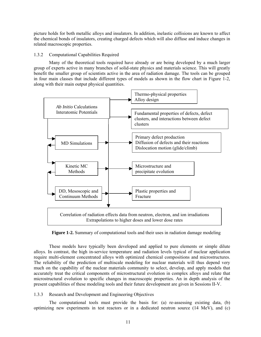picture holds for both metallic alloys and insulators. In addition, inelastic collisions are known to affect the chemical bonds of insulators, creating charged defects which will also diffuse and induce changes in related macroscopic properties.

## 1.3.2 Computational Capabilities Required

Many of the theoretical tools required have already or are being developed by a much larger group of experts active in many branches of solid-state physics and materials science. This will greatly benefit the smaller group of scientists active in the area of radiation damage. The tools can be grouped in four main classes that include different types of models as shown in the flow chart in Figure 1-2, along with their main output physical quantities.



**Figure 1-2.** Summary of computational tools and their uses in radiation damage modeling

These models have typically been developed and applied to pure elements or simple dilute alloys. In contrast, the high in-service temperature and radiation levels typical of nuclear application require multi-element concentrated alloys with optimized chemical compositions and microstructures. The reliability of the prediction of multiscale modeling for nuclear materials will thus depend very much on the capability of the nuclear materials community to select, develop, and apply models that accurately treat the critical components of microstructural evolution in complex alloys and relate that microstructural evolution to specific changes in macroscopic properties. An in depth analysis of the present capabilities of these modeling tools and their future development are given in Sessions II-V.

# 1.3.3 Research and Development and Engineering Objectives

The computational tools must provide the basis for: (a) re-assessing existing data, (b) optimizing new experiments in test reactors or in a dedicated neutron source (14 MeV), and (c)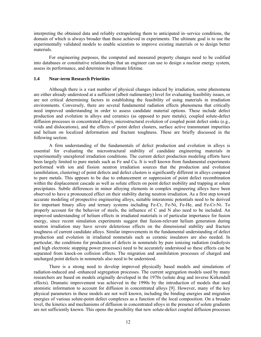interpreting the obtained data and reliably extrapolating them to anticipated in–service conditions, the domain of which is always broader than those achieved in experiments. The ultimate goal is to use the experimentally validated models to enable scientists to improve existing materials or to design better materials.

For engineering purposes, the computed and measured property changes need to be codified into databases or constitutive relationships that an engineer can use to design a nuclear energy system, assess its performance, and determine its ultimate lifetime.

#### **1.4 Near-term Research Priorities**

Although there is a vast number of physical changes induced by irradiation, some phenomena are either already understood at a sufficient (albeit rudimentary) level for evaluating feasibility issues, or are not critical determining factors in establishing the feasibility of using materials in irradiation environments. Conversely, there are several fundamental radiation effects phenomena that critically need improved understanding in order to assess candidate material options. These include defect production and evolution in alloys and ceramics (as opposed to pure metals), coupled solute-defect diffusion processes in concentrated alloys, microstructural evolution of coupled point defect sinks (e.g., voids and dislocations), and the effects of point defect clusters, surface active transmutant impurities and helium on localized deformation and fracture toughness. These are briefly discussed in the following section.

A firm understanding of the fundamentals of defect production and evolution in alloys is essential for evaluating the microstructural stability of candidate engineering materials in experimentally unexplored irradiation conditions. The current defect production modeling efforts have been largely limited to pure metals such as Fe and Cu. It is well known from fundamental experiments performed with ion and fission neutron irradiation sources that the production and evolution (annihilation, clustering) of point defects and defect clusters is significantly different in alloys compared to pure metals. This appears to be due to enhancement or suppression of point defect recombination within the displacement cascade as well as solute effects on point defect mobility and trapping at solute precipitates. Subtle differences in minor alloying elements in complex engineering alloys have been observed to have a pronounced effect on their stability during neutron irradiation. As a first step toward accurate modeling of prospective engineering alloys, suitable interatomic potentials need to be derived for important binary alloy and ternary systems including Fe-Cr, Fe-Ni, Fe-He, and Fe-Cr-Ni. To properly account for the behavior of steels, the influence of C and N also need to be included. An improved understanding of helium effects in irradiated materials is of particular importance for fusion energy, since recent simulation experiments suggest that fusion-relevant helium generation during neutron irradiation may have severe deleterious effects on the dimensional stability and fracture toughness of current candidate alloys. Similar improvements in the fundamental understanding of defect production and evolution in irradiated nonmetals such as ceramic insulators are also needed. In particular, the conditions for production of defects in nonmetals by pure ionizing radiation (radiolysis and high electronic stopping power processes) need to be accurately understood so these effects can be separated from knock-on collision effects. The migration and annihilation processes of charged and uncharged point defects in nonmetals also need to be understood.

There is a strong need to develop improved physically based models and simulations of radiation-induced and -enhanced segregation processes. The current segregation models used by many researchers are based on models originally developed in the 1970s (solute drag and inverse Kirkendall effects). Dramatic improvement was achieved in the 1990s by the introduction of models that used atomistic information to account for diffusion in concentrated alloys [9]. However, many of the key physical parameters in these models are not well known, including the binding energies and migration energies of various solute-point defect complexes as a function of the local composition. On a broader level, the kinetics and mechanisms of diffusion in concentrated alloys in the presence of solute gradients are not sufficiently known. This opens the possibility that new solute-defect coupled diffusion processes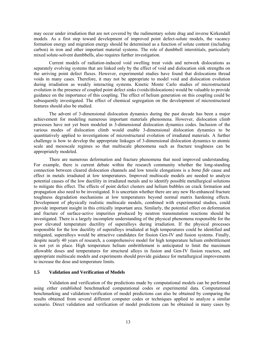may occur under irradiation that are not covered by the rudimentary solute drag and inverse Kirkendall models. As a first step toward development of improved point defect-solute models, the vacancy formation energy and migration energy should be determined as a function of solute content (including carbon) in iron and other important material systems. The role of dumbbell interstitials, particularly mixed solute-solvent dumbbells, also requires further investigation.

Current models of radiation-induced void swelling treat voids and network dislocations as separately evolving systems that are linked only by the effect of void and dislocation sink strengths on the arriving point defect fluxes. However, experimental studies have found that dislocations thread voids in many cases. Therefore, it may not be appropriate to model void and dislocation evolution during irradiation as weakly interacting systems. Kinetic Monte Carlo studies of microstructural evolution in the presence of coupled point defect sinks (voids/dislocations) would be valuable to provide guidance on the importance of this coupling. The effect of helium generation on this coupling could be subsequently investigated. The effect of chemical segregation on the development of microstructural features should also be studied.

The advent of 3-dimensional dislocation dynamics during the past decade has been a major achievement for modeling numerous important materials phenomena. However, dislocation climb processes have not yet been modeled in 3-dimensional dislocation dynamics codes. Inclusion of the various modes of dislocation climb would enable 3-dimensional dislocation dynamics to be quantitatively applied to investigations of microstructural evolution of irradiated materials. A further challenge is how to develop the appropriate linkages of 3-dimensional dislocation dynamics to atomic scale and mesoscale regimes so that multiscale phenomena such as fracture toughness can be appropriately modeled.

There are numerous deformation and fracture phenomena that need improved understanding. For example, there is current debate within the research community whether the long-standing connection between cleared dislocation channels and low tensile elongations is a *bona fide* cause and effect in metals irradiated at low temperatures. Improved multiscale models are needed to analyze potential causes of the low ductility in irradiated metals and to identify possible metallurgical solutions to mitigate this effect. The effects of point defect clusters and helium bubbles on crack formation and propagation also need to be investigated. It is uncertain whether there are any new He-enhanced fracture toughness degradation mechanisms at low temperatures beyond normal matrix hardening effects. Development of physically realistic multiscale models, combined with experimental studies, could provide important insight in this critically important area. Similarly, the potential effect on deformation and fracture of surface-active impurities produced by neutron transmutation reactions should be investigated. There is a largely incomplete understanding of the physical phenomena responsible for the poor elevated temperature ductility of superalloys during irradiation. If the physical processes responsible for the low ductility of superalloys irradiated at high temperatures could be identified and mitigated, superalloys would be attractive candidates for fission Gen-IV and fusion systems. Finally, despite nearly 40 years of research, a comprehensive model for high temperature helium embrittlement is not yet in place. High temperature helium embrittlement is anticipated to limit the maximum allowable doses and temperatures for structural alloys in fusion and Gen-IV fission reactors, and appropriate multiscale models and experiments should provide guidance for metallurgical improvements to increase the dose and temperature limits.

## **1.5 Validation and Verification of Models**

Validation and verification of the predictions made by computational models can be performed using either established benchmarked computational codes or experimental data. Computational benchmarking and validation/verification of model predictions can also be obtained by comparing the results obtained from several different computer codes or techniques applied to analyze a similar scenario. Direct validation and verification of model predictions can be obtained in many cases by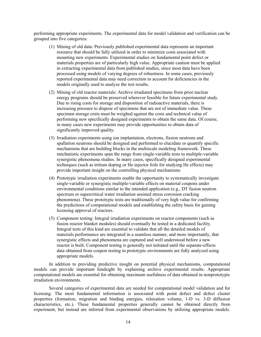performing appropriate experiments. The experimental data for model validation and verification can be grouped into five categories:

- (1) Mining of old data: Previously published experimental data represents an important resource that should be fully utilized in order to minimize costs associated with mounting new experiments. Experimental studies on fundamental point defect or materials properties are of particularly high value. Appropriate caution must be applied in extracting experimental data from published studies, since most data have been processed using models of varying degrees of robustness. In some cases, previously reported experimental data may need correction to account for deficiencies in the models originally used to analyze the test results.
- (2) Mining of old reactor materials: Archive irradiated specimens from prior nuclear energy programs should be preserved wherever feasible for future experimental study. Due to rising costs for storage and disposition of radioactive materials, there is increasing pressure to dispose of specimens that are not of immediate value. These specimen storage costs must be weighed against the costs and technical value of performing new specifically designed experiments to obtain the same data. Of course, in many cases new experiments may provide opportunities to obtain data of significantly improved quality.
- (3) Irradiation experiments using ion implantation, electrons, fission neutrons and spallation neutrons should be designed and performed to elucidate or quantify specific mechanisms that are building blocks in the multiscale modeling framework. These mechanistic experiments span the range from single-variable tests to multiple-variable synergistic phenomena studies. In many cases, specifically designed experimental techniques (such as tritium doping or He injector foils for studying He effects) may provide important insight on the controlling physical mechanisms.
- (4) Prototypic irradiation experiments enable the opportunity to systematically investigate single-variable or synergistic multiple-variable effects on material coupons under environmental conditions similar to the intended application (e.g., DT fusion neutron spectrum or supercritical water irradiation assisted stress corrosion cracking phenomena). These prototypic tests are traditionally of very high value for confirming the predictions of computational models and establishing the safety basis for gaining licensing approval of reactors.
- (5) Component testing: Integral irradiation experiments on reactor components (such as fusion reactor blanket modules) should eventually be tested in a dedicated facility. Integral tests of this kind are essential to validate that all the detailed models of materials performance are integrated in a seamless manner, and more importantly, that synergistic effects and phenomena are captured and well understood before a new reactor is built. Component testing is generally not initiated until the separate-effects data obtained from coupon testing in prototypic environments are fully analyzed using appropriate models.

In addition to providing predictive insight on potential physical mechanisms, computational models can provide important hindsight by explaining archive experimental results. Appropriate computational models are essential for obtaining maximum usefulness of data obtained in nonprototypic irradiation environments.

Several categories of experimental data are needed for computational model validation and for licensing. The most fundamental information is associated with point defect and defect cluster properties (formation, migration and binding energies, relaxation volume, 1-D vs. 3-D diffusion characteristics, etc.). These fundamental properties generally cannot be obtained directly from experiment, but instead are inferred from experimental observations by utilizing appropriate models.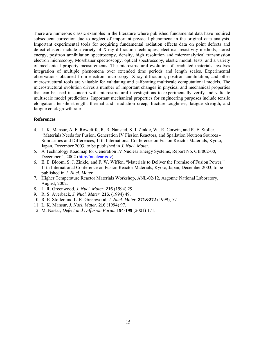There are numerous classic examples in the literature where published fundamental data have required subsequent correction due to neglect of important physical phenomena in the original data analysis. Important experimental tools for acquiring fundamental radiation effects data on point defects and defect clusters include a variety of X-ray diffraction techniques, electrical resistivity methods, stored energy, positron annihilation spectroscopy, density, high resolution and microanalytical transmission electron microscopy, Mössbauer spectroscopy, optical spectroscopy, elastic moduli tests, and a variety of mechanical property measurements. The microstructural evolution of irradiated materials involves integration of multiple phenomena over extended time periods and length scales. Experimental observations obtained from electron microscopy, X-ray diffraction, positron annihilation, and other microstructural tools are valuable for validating and calibrating multiscale computational models. The microstructural evolution drives a number of important changes in physical and mechanical properties that can be used in concert with microstructural investigations to experimentally verify and validate multiscale model predictions. Important mechanical properties for engineering purposes include tensile elongation, tensile strength, thermal and irradiation creep, fracture toughness, fatigue strength, and fatigue crack growth rate.

# **References**

- 4. L. K. Mansur, A. F. Rowcliffe, R. R. Nanstad, S. J. Zinkle, W.. R. Corwin, and R. E. Stoller, "Materials Needs for Fusion, Generation IV Fission Reactors, and Spallation Neutron Sources - Similarities and Differences, 11th International Conference on Fusion Reactor Materials, Kyoto, Japan, December 2003, to be published in *J. Nucl. Mater.*
- 5. A Technology Roadmap for Generation IV Nuclear Energy Systems, Report No. GIF002-00, December 1, 2002 (http://nuclear.gov).
- 6. E. E. Bloom, S. J. Zinkle, and F. W. Wiffen, "Materials to Deliver the Promise of Fusion Power," 11th International Conference on Fusion Reactor Materials, Kyoto, Japan, December 2003, to be published in *J. Nucl. Mater.*
- 7. Higher Temperature Reactor Materials Workshop, ANL-02/12, Argonne National Laboratory, August, 2002.
- 8. L. R. Greenwood, *J. Nucl. Mater*. **216** (1994) 29.
- 9. R. S. Averback, *J. Nucl. Mater*. **216**, (1994) 49.
- 10. R. E. Stoller and L. R. Greenwood, *J. Nucl. Mater*. **271&272** (1999), 57.
- 11. L. K. Mansur, *J. Nucl. Mater*. **216** (1994) 97.
- 12. M. Nastar, *Defect and Diffusion Forum* **194-199** (2001) 171.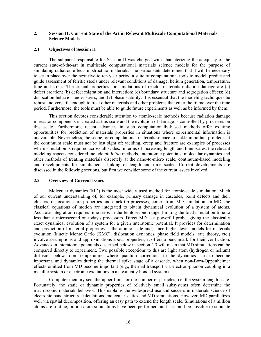## **2. Session II: Current State of the Art in Relevant Multiscale Computational Materials Science Models**

## **2.1 Objectives of Session II**

The subpanel responsible for Session II was charged with characterizing the adequacy of the current state-of-the-art in multiscale computational materials science models for the purpose of simulating radiation effects in structural materials. The participants determined that it will be necessary to set in place over the next five-to-ten year period a suite of computational tools to model, predict and guide assessment of ferritic steels under relevant conditions of damage, helium generation, temperature, time and stress. The crucial properties for simulations of reactor materials radiation damage are (a) defect creation; (b) defect migration and interaction; (c) boundary structure and segregation effects; (d) dislocation behavior under stress; and (e) phase stability. It is essential that the modeling techniques be robust and versatile enough to treat other materials and other problems that enter the frame over the time period. Furthermore, the tools must be able to guide future experiments as well as be informed by them.

This section devotes considerable attention to atomic-scale methods because radiation damage in reactor components is created at this scale and the evolution of damage is controlled by processes on this scale. Furthermore, recent advances in such computationally-based methods offer exciting opportunities for prediction of materials properties in situations where experimental information is unavailable. Nevertheless, the scope for computational materials science to tackle important problems at the continuum scale must not be lost sight of: yielding, creep and fracture are examples of processes where simulation is required across all scales. In terms of increasing length and time scales, the relevant modeling aspects considered include *ab initio* methods, interatomic potentials, molecular dynamics and other methods of treating materials discretely at the nano-to-micro scale, continuum-based modeling and developments for simultaneous linking of length and time scales. Current developments are discussed in the following sections, but first we consider some of the current issues involved.

# **2.2 Overview of Current Issues**

Molecular dynamics (MD) is the most widely used method for atomic-scale simulation. Much of our current understanding of, for example, primary damage in cascades, point defects and their clusters, dislocation core properties and crack-tip processes, comes from MD simulation. In MD, the classical equations of motion are integrated to obtain dynamical evolution of a system of atoms. Accurate integration requires time steps in the femtosecond range, limiting the total simulation time to less than a microsecond on today's processors. Direct MD is a powerful probe, giving the classically exact dynamical evolution of a system for a given interatomic potential. It provides for determination and prediction of material properties at the atomic scale and, since higher-level models for materials evolution (kinetic Monte Carlo (KMC), dislocation dynamics, phase field models, rate theory, etc.) involve assumptions and approximations about properties, it offers a benchmark for their verification. Advances in interatomic potentials described below in section 2.3 will mean that MD simulations can be compared directly to experiment. Two possible exceptions to this are light atom (hydrogen or helium) diffusion below room temperature, where quantum corrections to the dynamics start to become important, and dynamics during the thermal spike stage of a cascade, when non-Born-Oppenheimer effects omitted from MD become important (e.g., thermal transport via electron-phonon coupling in a metallic system or electronic excitations in a covalently bonded system).

Computer memory sets the upper limit for the number of particles, i.e. the system length scale. Fortunately, the static or dynamic properties of relatively small subsystems often determine the macroscopic materials behavior. This explains the widespread use and success in materials science of electronic band structure calculations, molecular statics and MD simulations. However, MD parallelizes well via spatial decomposition, offering an easy path to extend the length scale. Simulations of a million atoms are routine, billion-atom simulations have been performed, and it should be possible to simulate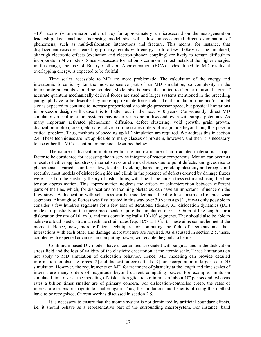$\sim 10^{11}$  atoms (= one-micron cube of Fe) for approximately a microsecond on the next-generation leadership-class machine. Increasing model size will allow unprecedented direct examination of phenomena, such as multi-dislocation interactions and fracture. This means, for instance, that displacement cascades created by primary recoils with energy up to a few 100keV can be simulated, although electronic effects (excitation and electron-phonon coupling) are likely to remain difficult to incorporate in MD models. Since subcascade formation is common in most metals at the higher energies in this range, the use of Binary Collision Approximation (BCA) codes, tuned to MD results at overlapping energy, is expected to be fruitful.

Time scales accessible to MD are more problematic. The calculation of the energy and interatomic force is by far the most expensive part of an MD simulation, so complexity in the interatomic potentials should be avoided. Model size is currently limited to about a thousand atoms if accurate quantum mechanically derived forces are used and larger systems mentioned in the preceding paragraph have to be described by more approximate force fields. Total simulation time and/or model size is expected to continue to increase proportionally to single-processor speed, but physical limitations in processor design will cause this to flatten out in the next 5-10 years. Consequently, direct MD simulations of million-atom systems may never reach one millisecond, even with simple potentials. As many important activated phenomena (diffusion, defect clustering, void growth, grain growth, dislocation motion, creep, etc.) are active on time scales orders of magnitude beyond this, this poses a critical problem. Thus, methods of speeding up MD simulation are required. We address this in section 2.4. These techniques are not applicable to many classes of problem, however, and then it is necessary to use either the MC or continuum methods described below.

The nature of dislocation motion within the microstructure of an irradiated material is a major factor to be considered for assessing the in-service integrity of reactor components. Motion can occur as a result of either applied stress, internal stress or chemical stress due to point defects, and gives rise to phenomena as varied as uniform flow, localized yielding, hardening, crack tip plasticity and creep. Until recently, most models of dislocation glide and climb in the presence of defects created by damage fluxes were based on the elasticity theory of dislocations, with line shape under stress estimated using the line tension approximation. This approximation neglects the effects of self-interaction between different parts of the line, which, for dislocations overcoming obstacles, can have an important influence on the flow stress. A dislocation with self-stress can be modeled as a flexible line constructed of piecewise segments. Although self-stress was first treated in this way over 30 years ago [1], it was only possible to consider a few hundred segments for a few tens of iterations. Ideally, 3D dislocation dynamics (DD) models of plasticity on the micro-meso scale require the simulation of 0.1-100mm of line length (for a dislocation density of  $10^{14}$ m<sup>-2</sup>), and thus contain typically  $10^5$ -10<sup>8</sup> segments. They should also be able to achieve a total plastic strain at realistic strain rates (e.g.  $10\%$  at  $10^{-6}$ s<sup>-1</sup>). These aims cannot be met at the moment. Hence, new, more efficient techniques for computing the field of segments and their interactions with each other and damage microstructure are required. As discussed in section 2.5, these, coupled with expected advances in computing power, will enable the goals to be met.

Continuum-based DD models have uncertainties associated with singularities in the dislocation stress field and the loss of validity of the elasticity description at the atomic scale. These limitations do not apply to MD simulation of dislocation behavior. Hence, MD modeling can provide detailed information on obstacle forces [2] and dislocation core effects [3] for incorporation in larger scale DD simulation. However, the requirements on MD for treatment of plasticity at the length and time scales of interest are many orders of magnitude beyond current computing power. For example, limits on simulated time restrict the modeling of dislocation glide to strain rates of about  $10<sup>6</sup>$  per second, whereas rates a billion times smaller are of primary concern. For dislocation-controlled creep, the rates of interest are orders of magnitude smaller again. Thus, the limitations and benefits of using this method have to be recognized. Current work is discussed in section 2.5.

It is necessary to ensure that the atomic system is not dominated by artificial boundary effects, i.e. it should behave as a representative part of the surrounding macrosystem. For instance, band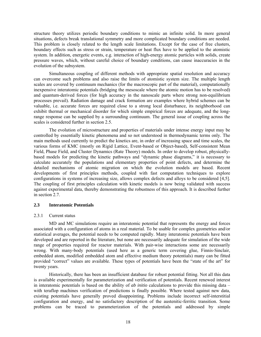structure theory utilizes periodic boundary conditions to mimic an infinite solid. In more general situations, defects break translational symmetry and more complicated boundary conditions are needed. This problem is closely related to the length scale limitations. Except for the case of free clusters, boundary effects such as stress or strain, temperature or heat flux have to be applied to the atomistic system. In addition, energetic events, e.g. interaction of high-energy atomic particles with solids, create pressure waves, which, without careful choice of boundary conditions, can cause inaccuracies in the evolution of the subsystem.

Simultaneous coupling of different methods with appropriate spatial resolution and accuracy can overcome such problems and also raise the limits of atomistic system size. The multiple length scales are covered by continuum mechanics (for the macroscopic part of the material), computationally inexpensive interatomic potentials (bridging the mesoscale where the atomic motion has to be resolved) and quantum-derived forces (for high accuracy in the nanoscale parts where strong non-equilibrium processes prevail). Radiation damage and crack formation are examples where hybrid schemes can be valuable, i.e. accurate forces are required close to a strong local disturbance, its neighborhood can exhibit thermal or mechanical disorder for which simple empirical forces are adequate, and the longrange response can be supplied by a surrounding continuum. The general issue of coupling across the scales is considered further in section 2.5.

The evolution of microstructure and properties of materials under intense energy input may be controlled by essentially kinetic phenomena and so not understood in thermodynamic terms only. The main methods used currently to predict the kinetics are, in order of increasing space and time scales, the various forms of KMC (mostly on Rigid Lattice, Event-based or Object-based), Self-consistent Mean Field, Phase Field, and Cluster Dynamics (Rate Theory) models. In order to develop robust, physicallybased models for predicting the kinetic pathways and "dynamic phase diagrams," it is necessary to calculate accurately the populations and elementary properties of point defects, and determine the detailed mechanisms of atomic migration on which the evolution models are based. Recent developments of first principles methods, coupled with fast computation techniques to explore configurations in systems of increasing size, allows complex defects and alloys to be considered [4,5]. The coupling of first principles calculation with kinetic models is now being validated with success against experimental data, thereby demonstrating the robustness of this approach. It is described further in section 2.7.

## **2.3 Interatomic Potentials**

#### 2.3.1 Current status

MD and MC simulations require an interatomic potential that represents the energy and forces associated with a configuration of atoms in a real material. To be usable for complex geometries and/or statistical averages, the potential needs to be computed rapidly. Many interatomic potentials have been developed and are reported in the literature, but none are necessarily adequate for simulation of the wide range of properties required for reactor materials. With pair-wise interactions some are necessarily wrong. With many-body potentials (used here as a generic term covering glue, Finnis-Sinclair, embedded atom, modified embedded atom and effective medium theory potentials) many can be fitted provided "correct" values are available. These types of potentials have been the "state of the art" for twenty years.

Historically, there has been an insufficient database for robust potential fitting. Not all this data is available experimentally for parameterization and verification of potentials. Recent renewed interest in interatomic potentials is based on the ability of *ab initio* calculations to provide this missing data – with teraflop machines verification of predictions is finally possible. Where tested against new data, existing potentials have generally proved disappointing. Problems include incorrect self-interstitial configuration and energy, and no satisfactory description of the austenitic-ferritic transition. Some problems can be traced to parameterization of the potentials and addressed by simple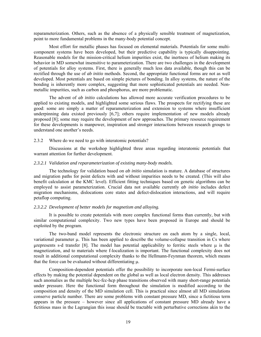reparameterization. Others, such as the absence of a physically sensible treatment of magnetization, point to more fundamental problems in the many-body potential concept.

Most effort for metallic phases has focused on elemental materials. Potentials for some multicomponent systems have been developed, but their predictive capability is typically disappointing. Reasonable models for the mission-critical helium impurities exist, the inertness of helium making its behavior in MD somewhat insensitive to parameterization. There are two challenges in the development of potentials for alloy systems. First, there is generally much less data available, though this can be rectified through the use of *ab initio* methods. Second, the appropriate functional forms are not as well developed. Most potentials are based on simple pictures of bonding. In alloy systems, the nature of the bonding is inherently more complex, suggesting that more sophisticated potentials are needed. Nonmetallic impurities, such as carbon and phosphorus, are more problematic.

The advent of *ab initio* calculations has allowed more accurate verification procedures to be applied to existing models, and highlighted some serious flaws. The prospects for rectifying these are good: some are simply a matter of reparameterization and extension to systems where insufficient underpinning data existed previously [6,7]; others require implementation of new models already proposed [8]; some may require the development of new approaches. The primary resource requirement for these developments is manpower, inspiration and stronger interactions between research groups to understand one another's needs.

#### 2.3.2 Where do we need to go with interatomic potentials?

Discussions at the workshop highlighted three areas regarding interatomic potentials that warrant attention for further development.

#### *2.3.2.1 Validation and reparameterization of existing many-body models.*

The technology for validation based on *ab initio* simulation is mature. A database of structures and migration paths for point defects with and without impurities needs to be created. (This will also benefit calculation at the KMC level). Efficient fitting techniques based on genetic algorithms can be employed to assist parameterization. Crucial data not available currently *ab initio* includes defect migration mechanisms, dislocations core states and defect-dislocation interactions, and will require petaflop computing.

#### *2.3.2.2 Development of better models for magnetism and alloying.*

It is possible to create potentials with more complex functional forms than currently, but with similar computational complexity. Two new types have been proposed in Europe and should be exploited by the program.

The two-band model represents the electronic structure on each atom by a single, local, variational parameter  $\mu$ . This has been applied to describe the volume-collapse transition in Cs where urepresents s-d transfer [8]. The model has potential applicability to ferritic steels where  $\mu$  is the magnetization, and to materials where f-localization is important. The functional complexity does not result in additional computational complexity thanks to the Hellmann-Feynman theorem, which means that the force can be evaluated without differentiating  $\mu$ .

Composition-dependent potentials offer the possibility to incorporate non-local Fermi-surface effects by making the potential dependent on the global as well as local electron density. This addresses such anomalies as the multiple bcc-fcc-hcp phase transitions observed with many short-range potentials under pressure. Here the functional form throughout the simulation is modified according to the composition and density of the MD simulation cell. This is practical since almost all MD simulations conserve particle number. There are some problems with constant pressure MD, since a fictitious term appears in the pressure – however since all applications of constant pressure MD already have a fictitious mass in the Lagrangian this issue should be tractable with perturbative corrections akin to the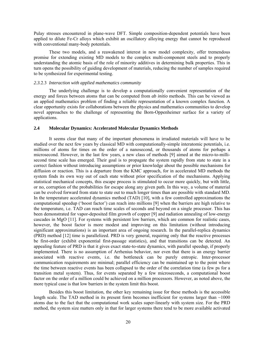Pulay stresses encountered in plane-wave DFT. Simple composition-dependent potentials have been applied to dilute Fe-Cr alloys which exhibit an oscillatory alloying energy that cannot be reproduced with conventional many-body potentials.

These two models, and a reawakened interest in new model complexity, offer tremendous promise for extending existing MD models to the complex multi-component steels and to properly understanding the atomic basis of the role of minority additives in determining bulk properties. This in turn opens the possibility of guiding development of materials, reducing the number of samples required to be synthesized for experimental testing.

#### *2.3.*2.3 *Interaction with applied mathematics community*

The underlying challenge is to develop a computationally convenient representation of the energy and forces between atoms that can be computed from *ab initio* methods. This can be viewed as an applied mathematics problem of finding a reliable representation of a known complex function. A clear opportunity exists for collaborations between the physics and mathematics communities to develop novel approaches to the challenge of representing the Born-Oppenheimer surface for a variety of applications.

#### **2.4 Molecular Dynamics: Accelerated Molecular Dynamics Methods**

It seems clear that many of the important phenomena in irradiated materials will have to be studied over the next few years by classical MD with computationally-simple interatomic potentials, i.e. millions of atoms for times on the order of a nanosecond, or thousands of atoms for perhaps a microsecond. However, in the last few years, a new class of methods [9] aimed at the micro-to-millisecond time scale has emerged. Their goal is to propagate the system rapidly from state to state in a correct fashion without introducing assumptions or prior knowledge about the possible mechanisms for diffusion or reaction. This is a departure from the KMC approach, for in accelerated MD methods the system finds its own way out of each state without prior specification of the mechanisms. Applying statistical mechanical concepts, this escape process is stimulated to occur more quickly, but with little, or no, corruption of the probabilities for escape along any given path. In this way, a volume of material can be evolved forward from state to state out to much longer times than are possible with standard MD. In the temperature accelerated dynamics method (TAD) [10], with a few controlled approximations the computational speedup ('boost factor') can reach into millions [9] when the barriers are high relative to the temperature, i.e. TAD can reach time scales of seconds and beyond on a single processor. This has been demonstrated for vapor-deposited film growth of copper [9] and radiation annealing of low-energy cascades in MgO [11]. For systems with persistent low barriers, which are common for realistic cases, however, the boost factor is more modest and improving on this limitation (without introducing significant approximations) is an important area of ongoing research. In the parallel-replica dynamics (PRD) method [12] time is parallelized. PRD is very general, requiring only that the reactive processes be first-order (exhibit exponential first-passage statistics), and that transitions can be detected. An appealing feature of PRD is that it gives exact state-to-state dynamics, with parallel speedup, if properly implemented. There is no assumption of Arrhenius behavior, nor even that there is an energy barrier associated with reactive events, i.e. the bottleneck can be purely entropic. Inter-processor communication requirements are minimal; parallel efficiency can be maintained up to the point where the time between reactive events has been collapsed to the order of the correlation time (a few ps for a transition metal system). Thus, for events separated by a few microseconds, a computational boost factor on the order of a million could be achieved on a million processors. However, as noted above, the more typical case is that low barriers in the system limit this boost.

Besides this boost limitation, the other key remaining issue for these methods is the accessible length scale. The TAD method in its present form becomes inefficient for systems larger than  $\sim$ 1000 atoms due to the fact that the computational work scales super-linearly with system size. For the PRD method, the system size matters only in that for larger systems there tend to be more available activated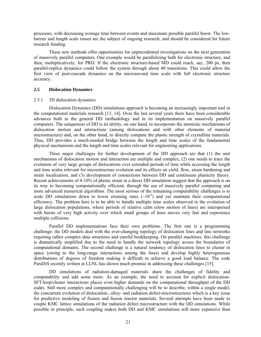processes, with decreasing average time between events and maximum possible parallel boost. The lowbarrier and length scale issues are the subject of ongoing research, and should be considered for future research funding.

These new methods offer opportunities for unprecedented investigations on the next generation of massively parallel computers. One example would be parallelizing both for electronic structure, and then, multiplicatively, for PRD. If the electronic structure-based MD could reach, say, 200 ps, then parallel-replica dynamics could follow the system through about 40 transitions. This could allow the first view of post-cascade dynamics on the microsecond time scale with full electronic structure accuracy.

## **2.5 Dislocation Dynamics**

#### 2.5.1 3D dislocation dynamics

Dislocation Dynamics (DD) simulations approach is becoming an increasingly important tool in the computational materials research [13, 14]. Over the last several years there have been considerable advances both in the general DD methodology and in its implementation on massively parallel computers. The uniqueness of DD is its ability, on one hand, to incorporate the atomistic mechanisms of dislocation motion and interactions (among dislocations and with other elements of material microstructure) and, on the other hand, to directly compute the plastic strength of crystalline materials. Thus, DD provides a much-needed bridge between the length and time scales of the fundamental physical mechanisms and the length and time scales relevant for engineering applications.

Three major challenges for further development of the DD approach are that (1) the unit mechanisms of dislocation motion and interaction are multiple and complex, (2) one needs to trace the evolution of very large groups of dislocations over extended periods of time while accessing the length and time scales relevant for microstructure evolution and its effects on yield, flow, strain hardening and strain localization, and (3) development of connections between DD and continuum plasticity theory. Recent achievements of 4-10% of plastic strain in a direct DD simulation suggest that the approach is on its way to becoming computationally efficient, through the use of massively parallel computing and more advanced numerical algorithms. The most serious of the remaining computability challenges is to scale DD simulations down to lower straining rates  $(\sim 10^{-5})$  and yet maintain their computational efficiency. The problem here is to be able to handle multiple time scales observed in the evolution of large dislocation populations, where periods of relative calm (slow motion of lines) are interspersed with bursts of very high activity over which small groups of lines moves very fast and experience multiple collisions.

Parallel DD implementations face their own problems. The first one is a programming challenge: the DD models deal with the ever-changing topology of dislocation lines and line networks requiring rather complex data structures and careful bookkeeping. On parallel machines, this challenge is dramatically amplified due to the need to handle the network topology across the boundaries of computational domains. The second challenge is a natural tendency of dislocation lines to cluster in space (owing to the long-range interactions among the lines) and develop highly heterogeneous distributions of degrees of freedom making it difficult to achieve a good load balance. The code ParaDiS recently written at LLNL has shown much promise in addressing these challenges [15].

DD simulations of radiation-damaged materials share the challenges of fidelity and computability and add some more. As an example, the need to account for explicit dislocation-SFT/loop/cluster interactions places even higher demands on the computational throughput of the DD codes. Still more complex and computationally challenging will be to describe, within a single model, the concurrent evolution of dislocation-, alloy- and radiation defect-microstructures which is a key issue for predictive modeling of fission and fusion reactor materials. Several attempts have been made to couple KMC lattice simulations of the radiation defect microstructure with the DD simulations. While possible in principle, such coupling makes both DD and KMC simulations still more expensive than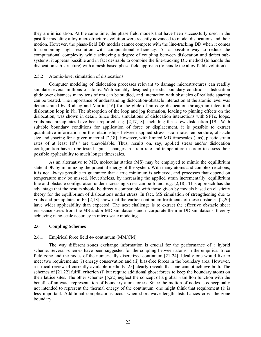they are in isolation. At the same time, the phase field models that have been successfully used in the past for modeling alloy microstructure evolution were recently advanced to model dislocations and their motion. However, the phase-field DD models cannot compete with the line-tracking DD when it comes to combining high resolution with computational efficiency. As a possible way to reduce the computational complexity while achieving a degree of coupling between dislocation and defect subsystems, it appears possible and in fact desirable to combine the line-tracking DD method (to handle the dislocation sub-structure) with a mesh-based phase-field approach (to handle the alloy field evolution).

# 2.5.2 Atomic-level simulation of dislocations

Computer modeling of dislocation processes relevant to damage microstructures can readily simulate several millions of atoms. With suitably designed periodic boundary conditions, dislocation glide over distances many tens of nm can be studied, and interaction with obstacles of realistic spacing can be treated. The importance of understanding dislocation-obstacle interaction at the atomic level was demonstrated by Rodney and Martin [16] for the glide of an edge dislocation through an interstitial dislocation loop in Ni. The absorption of the loop and jog formation, leading to pinning effects on the dislocation, was shown in detail. Since then, simulations of dislocation interactions with SFTs, loops, voids and precipitates have been reported, e.g. [2,17,18], including the screw dislocation [19]. With suitable boundary conditions for application of force or displacement, it is possible to extract quantitative information on the relationships between applied stress, strain rate, temperature, obstacle size and spacing for a given material [2,18]. However, with limited MD timescales (~ns), plastic strain rates of at least  $10^6$ s<sup>-1</sup> are unavoidable. Thus, results on, say, applied stress and/or dislocation configuration have to be tested against changes in strain rate and temperature in order to assess their possible applicability to much longer timescales.

As an alternative to MD, molecular statics (MS) may be employed to mimic the equilibrium state at 0K by minimizing the potential energy of the system. With many atoms and complex reactions, it is not always possible to guarantee that a true minimum is achieved, and processes that depend on temperature may be missed. Nevertheless, by increasing the applied strain incrementally, equilibrium line and obstacle configuration under increasing stress can be found, e.g. [2,18]. This approach has the advantage that the results should be directly comparable with those given by models based on elasticity theory for the equilibrium of dislocations under stress. In fact, MS simulation of strengthening due to voids and precipitates in Fe [2,18] show that the earlier continuum treatments of these obstacles [2,20] have wider applicability than expected. The next challenge is to extract the effective obstacle shear resistance stress from the MS and/or MD simulations and incorporate them in DD simulations, thereby achieving nano-scale accuracy in micro-scale modeling.

#### **2.6 Coupling Schemes**

#### 2.6.1 Empirical force field  $\leftrightarrow$  continuum (MM/CM)

The way different zones exchange information is crucial for the performance of a hybrid scheme. Several schemes have been suggested for the coupling between atoms in the empirical force field zone and the nodes of the numerically discretized continuum [21-24]. Ideally one would like to meet two requirements: (i) energy conservation and (ii) bias-free forces in the boundary area. However, a critical review of currently available methods [25] clearly reveals that one cannot achieve both. The schemes of [21,22] fulfill criterion (i) but require additional ghost forces to keep the boundary atoms on their lattice sites. The other schemes [5,22] neglect the concept of a global Hamilton function with the benefit of an exact representation of boundary atom forces. Since the motion of nodes is conceptually not intended to represent the thermal energy of the continuum, one might think that requirement (i) is less important. Additional complications occur when short wave length disturbances cross the zone boundary.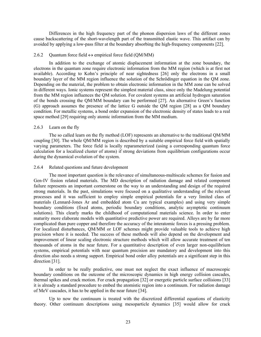Differences in the high frequency part of the phonon dispersion laws of the different zones cause backscattering of the short-wavelength part of the transmitted elastic wave. This artifact can by avoided by applying a low-pass filter at the boundary absorbing the high-frequency components [22].

#### 2.6.2 Quantum force field  $\leftrightarrow$  empirical force field (QM/MM)

In addition to the exchange of atomic displacement information at the zone boundary, the electrons in the quantum zone require electronic information from the MM region (which is at first not available). According to Kohn's principle of near sightedness [26] only the electrons in a small boundary layer of the MM region influence the solution of the Schrödinger equation in the QM zone. Depending on the material, the problem to obtain electronic information in the MM zone can be solved in different ways. Ionic systems represent the simplest material class, since only the Madelung potential from the MM region influences the QM solution. For covalent systems an artificial hydrogen saturation of the bonds crossing the QM/MM boundary can be performed [27]. An alternative Green's function (G) approach assumes the presence of the lattice G outside the QM region [28] as a QM boundary condition. For metallic systems, a bond order expansion of the electronic density of states leads to a real space method [29] requiring only atomic information from the MM medium.

#### 2.6.3 Learn on the fly

The so called learn on the fly method (LOF) represents an alternative to the traditional QM/MM coupling [30]. The whole QM/MM region is described by a suitable empirical force field with spatially varying parameters. The force field is locally reparameterized (using a corresponding quantum force calculation for a localized cluster of atoms) if strong deviations from equilibrium configurations occur during the dynamical evolution of the system.

#### 2.6.4 Related questions and future development

The most important question is the relevance of simultaneous-multiscale schemes for fusion and Gen-IV fission related materials. The MD description of radiation damage and related component failure represents an important cornerstone on the way to an understanding and design of the required strong materials. In the past, simulations were focused on a qualitative understanding of the relevant processes and it was sufficient to employ simple empirical potentials for a very limited class of materials (Lennard-Jones Ar and embedded atom Cu are typical examples) and using very simple boundary conditions (fixed atoms, periodic boundary conditions, analytic asymptotic continuum solutions). This clearly marks the childhood of computational materials science. In order to enter maturity more elaborate models with quantitative predictive power are required. Alloys are by far more complicated than pure copper and therefore the accuracy of the interatomic forces is a pressing problem. For localized disturbances, QM/MM or LOF schemes might provide valuable tools to achieve high precision where it is needed. The success of these methods will also depend on the development and improvement of linear scaling electronic structure methods which will allow accurate treatment of ten thousands of atoms in the near future. For a quantitative description of even larger non-equilibrium systems, empirical potentials with near quantum precision are mandatory and development into this direction also needs a strong support. Empirical bond order alloy potentials are a significant step in this direction [31].

In order to be really predictive, one must not neglect the exact influence of macroscopic boundary conditions on the outcome of the microscopic dynamics in high energy collision cascades, thermal spikes and crack motion. For crack propagation [32] or energetic particle surface collisions [33] it is already a standard procedure to embed the atomistic region into a continuum. For radiation damage of MeV cascades, it has to be applied in the near future [34].

Up to now the continuum is treated with the discretized differential equations of elasticity theory. Other continuum descriptions using mesoparticle dynamics [35] would allow for crack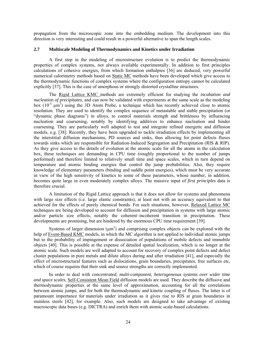propagation from the microscopic zone into the embedding medium. The development into this direction is very interesting and could result in a powerful alternative to span the length scales.

# **2.7 Multiscale Modeling of Thermodynamics and Kinetics under Irradiation**

A first step in the modeling of microstructure evolution is to predict the thermodynamic properties of complex systems, not always available experimentally. In addition to first principles calculations of cohesive energies, from which formation enthalpies [36] are deduced, very powerful numerical calorimetry methods based on Static MC methods have been developed which give access to the thermodynamic functions of complex systems where the configuration entropy cannot be calculated explicitly [37]. This is the case of amorphous or strongly distorted crystalline structures.

The Rigid Lattice KMC methods are extremely efficient for studying the *incubation and nucleation of precipitates*, and can now be validated with experiments at the same scale as the modeling box  $(10^{-5} \mu m^3)$  using the 3D Atom Probe, a technique which has recently achieved close to atomic resolution. They are used to identify the complex sequence of metastable and stable precipitation (or "dynamic phase diagrams") in alloys, to control materials strength and brittleness by influencing nucleation and coarsening, notably by identifying additives to enhance nucleation and hinder coarsening. They are particularly well adapted to test and integrate refined energetic and diffusion models, e.g. [38]. Recently, they have been upgraded to tackle irradiation effects by implementing all the interstitial diffusion mechanisms, PD sources and sinks, thus allowing for point defects fluxes towards sinks which are responsible for Radiation-Induced Segregation and Precipitation (RIS & RIP). As they give access to the details of evolution at the atomic scale for all the atoms in the calculation box, these techniques are demanding in CPU time (roughly proportional to the number of jumps performed) and therefore limited to relatively small time and space scales, which in turn depend on temperature and atomic binding energies that control the jump probabilities. Also, they require knowledge of elementary parameters (binding and saddle point energies), which must be very accurate in view of the high sensitivity of kinetics to some of these parameters, whose number, in addition, becomes quite large in even moderately complex alloys. The massive input of *first principles* data is therefore crucial.

A limitation of the Rigid Lattice approach is that it does not allow for systems and phenomena with large size effects (i.e. large elastic constraints), at least not with an accuracy equivalent to that achieved for the effects of purely chemical bonds. For such situations, however, Relaxed Lattice MC techniques are being developed to account for diffusion and precipitation in systems with large atomic and/or particle size effects, notably the coherent–incoherent transition in precipitation. These developments are promising, but are hindered by the enormous CPU time requirement [39].

Systems of larger dimension  $(\mu m^3)$  and comprising complex objects can be explored with the help of Event-Based KMC models, in which the MC algorithm is not applied to individual atomic jumps but to the probability of impingement or dissociation of populations of mobile defects and immobile objects [40]. This is possible at the expense of detailed spatial localization, which is no longer at the atomic scale. Such models are well adapted to account for recovery of complex point defects and defect cluster populations in pure metals and dilute alloys during and after irradiation [41], and especially the effect of microstructural features such as dislocations, grain boundaries, precipitates, free surfaces etc, which of course requires that their sink and source strengths are correctly implemented.

In order to deal with *concentrated, multi-component, heterogeneous systems over wider time and space scales*, Self-Consistent Mean Field diffusion models are used. They describe the diffusive and thermodynamic properties at the same level of approximation, accounting for all the correlations between atomic jumps, and for both the thermodynamic and kinetic coupling of fluxes. The latter is of paramount importance for materials under irradiation as it gives rise to RIS at grain boundaries in stainless steels [42], for example. Also, such models are designed to take advantage of existing macroscopic data bases (e.g. DICTRA) and enrich them with atomic scale-based calculations.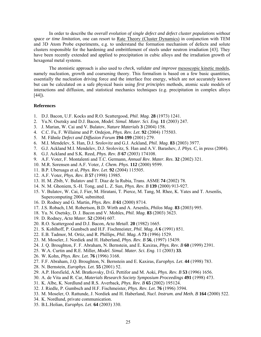In order to describe the *overall evolution of single defect and defect cluster populations without space or time limitation,* one can resort to Rate Theory (Cluster Dynamics) in conjunction with TEM and 3D Atom Probe experiments, e.g. to understand the formation mechanism of defects and solute clusters responsible for the hardening and embrittlement of steels under neutron irradiation [43]. They have been recently extended and applied to precipitation in cubic alloys and the irradiation growth of hexagonal metal systems.

The atomistic approach is also used to *check, validate and improve* mesoscopic kinetic models, namely nucleation, growth and coarsening theory. This formalism is based on a few basic quantities, essentially the nucleation driving force and the interface free energy, which are not accurately known but can be calculated on a safe physical basis using *first principles* methods, atomic scale models of interactions and diffusion, and statistical mechanics techniques (e.g. precipitation in complex alloys  $[44]$ ).

#### **References**

- 1. D.J. Bacon, U.F. Kocks and R.O. Scattergood, *Phil. Mag*. **28** (1973) 1241.
- 2. Yu.N. Osetsky and D.J. Bacon, *Model. Simul. Mater. Sci. Eng*. **11** (2003) 247.
- 3. J. Marian, W. Cai and V. Bulatov, *Nature Materials* **3** (2004) 158.
- 4. C.C. Fu, F. Willaime and P. Ordejon, *Phys. Rev. Let*. **92** (2004) 175503.
- 5. M. Fähnle *Defect and Diffusion Forum* **194-199** (2001) 279.
- 6. M.I. Mendelev, S. Han, D.J. Srolovitz and G.J. Ackland, *Phil. Mag*. **83** (2003) 3977.
- 7. G.J. Ackland M.I. Mendelev, D.J. Srolovitz, S. Han and A.V. Barashev, *J. Phys. C*, in press (2004).
- 8. G.J. Ackland and S.K. Reed, *Phys. Rev. B* **67** (2003) 174108.
- 9. A.F. Voter, F. Montalenti and T.C. Germann, *Annual Rev. Mater. Res*. **32** (2002) 321.
- 10. M.R. Sorensen and A.F. Voter, *J. Chem. Phys*. **112** (2000) 9599.
- 11. B.P. Uberuaga et al, *Phys. Rev. Let*. **92** (2004) 115505.
- 12. A.F. Voter, *Phys. Rev. B* **57** (1998) 13985.
- 13. H. M. Zbib, V. Bulatov and T. Diaz de la Rubia, Trans. ASME **74** (2002) 78.
- 14. N. M. Ghoniem, S.-H. Tong, and L. Z. Sun, *Phys. Rev. B* **139** (2000) 913-927.
- 15. V. Bulatov, W. Cai, J. Fier, M. Hiratani, T. Pierce, M. Tang, M. Rhee, K. Yates and T. Arsenlis, Supercomputing 2004, submitted.
- 16. D. Rodney and G. Martin, *Phys. Rev. B* **61** (2000) 8714.
- 17. J.S. Robach, I.M. Robertson, B.D. Wirth and A. Arsenlis, *Philos Mag*. **83** (2003) 995.
- 18. Yu. N. Osetsky, D. J. Bacon and V. Mohles, *Phil. Mag*. **83** (2003) 3623.
- 19. D. Rodney, *Acta Mater*. **52** (2004) 607.
- 20. R.O. Scattergood and D.J. Bacon, *Acta Metall*. **20** (1982) 1665.
- 21. S. Kohlhoff, P. Gumbsch and H.F. Fischmeister, *Phil. Mag. A* **6** (1991) 851.
- 22. E.B. Tadmor, M. Ortiz, and R. Phillips, *Phil. Mag. A* **73** (1996) 1529.
- 23. M. Moseler, J. Nordiek and H. Haberland, *Phys. Rev. B* **56**, (1997) 15439.
- 24. J. Q. Broughton, F. F. Abraham, N. Bernstein, and E. Kaxiras, *Phys. Rev. B* **60** (1999) 2391.
- 25. W.A. Curtin and R.E. Miller, *Model. Simul. Mater. Sci. Eng*. 11 (2003) **33**.
- 26. W. Kohn, *Phys. Rev. Let*. **76** (1996) 3168.
- 27. F.F. Abraham, J.Q. Broughton, N. Bernstein and E. Kaxiras, *Europhys. Let*. **44** (1998) 783.
- 28. N. Bernstein, *Europhys. Let*. **55** (2001) 52.
- 29. A.P. Horsfield, A.M. Bratkovsky, D.G. Pettifor and M. Aoki, *Phys. Rev. B* **53** (1996) 1656.
- 30. A. de Vita and R. Car, *Materials Research Society Symposium Proceedings* **491** (1998) 473.
- 31. K. Albe, K. Nordlund and R.S. Averback, *Phys. Rev. B* **65** (2002) 195124.
- 32. J. Riedle, P. Gumbsch and H.F. Fischmeister, *Phys. Rev. Let*. **76** (1996) 3594.
- 33. M. Moseler, O. Rattunde, J. Nordiek and H. Haberland, *Nucl. Instrum. and Meth. B* **164** (2000) 522.
- 34. K. Nordlund, private communication.
- 35. B.L.Holian, *Europhys. Let*. **64** (2003) 330.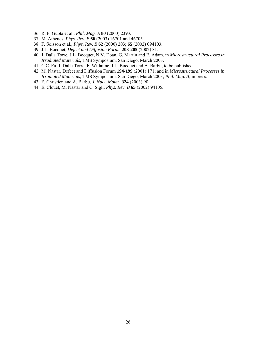- 36. R. P. Gupta et al., *Phil. Mag. A* **80** (2000) 2393.
- 37. M. Athènes, *Phys. Rev. E* **66** (2003) 16701 and 46705.
- 38. F. Soisson et al., *Phys. Rev. B* **62** (2000) 203; **65** (2002) 094103.
- 39. J.L. Bocquet, *Defect and Diffusion Forum* **203-205** (2002) 81.
- 40. J. Dalla Torre, J.L. Bocquet, N.V. Doan, G. Martin and E. Adam, in *Microstructural Processes in Irradiated Materials*, TMS Symposium, San Diego, March 2003.
- 41. C.C. Fu, J. Dalla Torre, F. Willaime, J.L. Bocquet and A. Barbu, to be published
- 42. M. Nastar, Defect and Diffusion Forum **194-199** (2001) 171; and in *Microstructural Processes in Irradiated Materials*, TMS Symposium, San Diego, March 2003; *Phil. Mag. A*, in press.
- 43. F. Christien and A. Barbu, *J. Nucl. Mater*. **324** (2003) 90.
- 44. E. Clouet, M. Nastar and C. Sigli, *Phys. Rev. B* **65** (2002) 94105.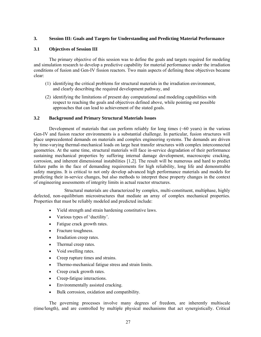# **3. Session III: Goals and Targets for Understanding and Predicting Material Performance**

# **3.1 Objectives of Session III**

The primary objective of this session was to define the goals and targets required for modeling and simulation research to develop a predictive capability for material performance under the irradiation conditions of fusion and Gen-IV fission reactors. Two main aspects of defining these objectives became clear:

- (1) identifying the critical problems for structural materials in the irradiation environment, and clearly describing the required development pathway, and
- (2) identifying the limitations of present day computational and modeling capabilities with respect to reaching the goals and objectives defined above, while pointing out possible approaches that can lead to achievement of the stated goals.

# **3.2 Background and Primary Structural Materials Issues**

Development of materials that can perform reliably for long times (~60 years) in the various Gen-IV and fusion reactor environments is a substantial challenge. In particular, fusion structures will place unprecedented demands on materials and complex engineering systems. The demands are driven by time-varying thermal-mechanical loads on large heat transfer structures with complex interconnected geometries. At the same time, structural materials will face in-service degradation of their performance sustaining mechanical properties by suffering internal damage development, macroscopic cracking, corrosion, and inherent dimensional instabilities [1,2]. The result will be numerous and hard to predict failure paths in the face of demanding requirements for high reliability, long life and demonstrable safety margins. It is critical to not only develop advanced high performance materials and models for predicting their in-service changes, but also methods to interpret these property changes in the context of engineering assessments of integrity limits in actual reactor structures.

 Structural materials are characterized by complex, multi-constituent, multiphase, highly defected, non-equilibrium microstructures that mediate an array of complex mechanical properties. Properties that must be reliably modeled and predicted include:

- Yield strength and strain hardening constitutive laws.
- Various types of 'ductility'.
- Fatigue crack growth rates.
- Fracture toughness.
- Irradiation creep rates.
- Thermal creep rates.
- Void swelling rates.
- Creep rupture times and strains.
- Thermo-mechanical fatigue stress and strain limits.
- Creep crack growth rates.
- Creep-fatigue interactions.
- Environmentally assisted cracking.
- Bulk corrosion, oxidation and compatibility.

The governing processes involve many degrees of freedom, are inherently multiscale (time/length), and are controlled by multiple physical mechanisms that act synergistically. Critical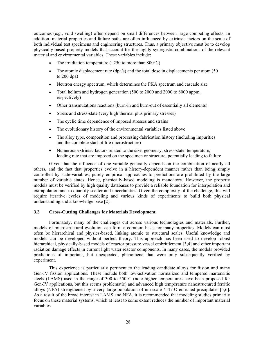outcomes (e.g., void swelling) often depend on small differences between large competing effects. In addition, material properties and failure paths are often influenced by extrinsic factors on the scale of both individual test specimens and engineering structures. Thus, a primary objective must be to develop physically-based property models that account for the highly synergistic combinations of the relevant material and environmental variables. These variables include:

- The irradiation temperature  $(\sim 250$  to more than 800 $^{\circ}$ C)
- The atomic displacement rate (dpa/s) and the total dose in displacements per atom (50) to 200 dpa)
- Neutron energy spectrum, which determines the PKA spectrum and cascade size
- Total helium and hydrogen generation (500 to 2000 and 2000 to 8000 appm, respectively)
- Other transmutations reactions (burn-in and burn-out of essentially all elements)
- Stress and stress-state (very high thermal plus primary stresses)
- The cyclic time dependence of imposed stresses and strains
- The evolutionary history of the environmental variables listed above
- The alloy type, composition and processing-fabrication history (including impurities and the complete start-of life microstructure)
- Numerous extrinsic factors related to the size, geometry, stress-state, temperature, loading rate that are imposed on the specimen or structure, potentially leading to failure

Given that the influence of one variable generally depends on the combination of nearly all others, and the fact that properties evolve in a history-dependent manner rather than being simply controlled by state-variables, purely empirical approaches to predictions are prohibited by the large number of variable states. Hence, physically-based modeling is mandatory. However, the property models must be verified by high quality databases to provide a reliable foundation for interpolation and extrapolation and to quantify scatter and uncertainties. Given the complexity of the challenge, this will require iterative cycles of modeling and various kinds of experiments to build both physical understanding and a knowledge base [2].

#### **3.3 Cross-Cutting Challenges for Materials Development**

Fortunately, many of the challenges cut across various technologies and materials. Further, models of microstructural evolution can form a common basis for many properties. Models can most often be hierarchical and physics-based, linking atomic to structural scales. Useful knowledge and models can be developed without perfect theory. This approach has been used to develop robust hierarchical, physically-based models of reactor pressure vessel embrittlement [3,4] and other important radiation damage effects in current light water reactor components. In many cases, the models provided predictions of important, but unexpected, phenomena that were only subsequently verified by experiment.

This experience is particularly pertinent to the leading candidate alloys for fusion and many Gen-IV fission applications. These include both low-activation normalized and tempered martensitic steels (LAMS) used in the range of 300 to 550°C (note higher temperatures have been proposed for Gen-IV applications, but this seems problematic) and advanced high temperature nanostructured ferritic alloys (NFA) strengthened by a very large population of nm-scale Y-Ti-O enriched precipitates [5,6]. As a result of the broad interest in LAMS and NFA, it is recommended that modeling studies primarily focus on these material systems, which at least to some extent reduces the number of important material variables.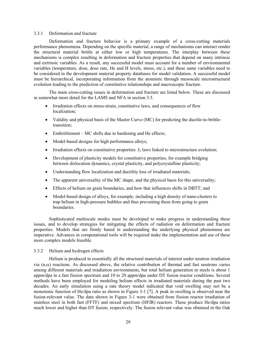#### 3.3.1 Deformation and fracture

Deformation and fracture behavior is a primary example of a cross-cutting materials performance phenomena. Depending on the specific material, a range of mechanisms can interact render the structural material brittle at either low or high temperatures. The interplay between these mechanisms is complex resulting in deformation and fracture properties that depend on many intrinsic and extrinsic variables. As a result, any successful model must account for a number of environmental variables (temperature, dose, dose rate, He and H levels, stress, etc.), and these same variables need to be considered in the development material property databases for model validation. A successful model must be hierarchical, incorporating information from the atomistic through mesoscale microstructural evolution leading to the prediction of constitutive relationships and macroscopic fracture.

The main cross-cutting issues in deformation and fracture are listed below. These are discussed in somewhat more detail for the LAMS and NFA in section 3.5.

- Irradiation effects on stress-strain, constitutive laws, and consequences of flow localization;
- Validity and physical basis of the Master Curve (MC) for predicting the ductile-to-brittletransition;
- Embrittlement MC shifts due to hardening and He effects;
- Model-based designs for high performance alloys;
- Irradiation effects on constitutive properties:  $J_2$  laws linked to microstructure evolution;
- Development of plasticity models for constitutive properties, for example bridging between dislocation dynamics, crystal plasticity, and polycrystalline plasticity;
- Understanding flow localization and ductility loss of irradiated materials;
- The apparent universality of the MC shape, and the physical basis for this universality;
- Effects of helium on grain boundaries, and how that influences shifts in DBTT; and
- Model-based design of alloys, for example, including a high density of nano-clusters to trap helium in high-pressure bubbles and thus preventing them from going to grain boundaries.

Sophisticated multiscale modes must be developed to make progress in understanding these issues, and to develop strategies for mitigating the effects of radiation on deformation and fracture properties. Models that are firmly based in understanding the underlying physical phenomena are imperative. Advances in computational tools will be required make the implementation and use of these more complex models feasible.

# 3.3.2 Helium and hydrogen effects

Helium is produced in essentially all the structural materials of interest under neutron irradiation via (n,α) reactions. As discussed above, the relative contribution of thermal and fast neutrons varies among different materials and irradiation environments, but total helium generation in steels is about 1 appm/dpa in a fast fission spectrum and 10 to 20 appm/dpa under DT fusion reactor conditions. Several methods have been employed for modeling helium effects in irradiated materials during the past two decades. An early simulation using a rate theory model indicated that void swelling may not be a monotonic function of He/dpa ratio as shown in Figure 3-1 [7]. A peak in swelling is observed near the fusion-relevant value. The data shown in Figure 3-1 were obtained from fission reactor irradiation of stainless steel in both fast (FFTF) and mixed spectrum (HFIR) reactors. These produce He/dpa ratios much lower and higher than DT fusion, respectively. The fusion relevant value was obtained in the Oak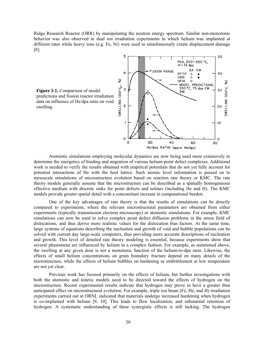Ridge Research Reactor (ORR) by manipulating the neutron energy spectrum. Similar non-monotonic behavior was also observed in dual ion irradiation experiments in which helium was implanted at different rates while heavy ions (e.g. Fe, Ni) were used to simultaneously create displacement damage [8].



Atomistic simulations employing molecular dynamics are now being used more extensively to determine the energetics of binding and migration of various helium-point defect complexes. Additional work is needed to verify the results obtained with empirical potentials that do not yet fully account for potential interactions of He with the host lattice. Such atomic level information is passed on to mesoscale simulations of microstructure evolution based on reaction rate theory or KMC. The rate theory models generally assume that the microstructure can be described as a spatially homogeneous effective medium with discrete sinks for point defects and solutes (including He and H). The KMC models provide greater spatial detail with a concomitant increase in computational burden.

One of the key advantages of rate theory is that the results of simulations can be directly compared to experiments, where the relevant microstructural parameters are obtained from either experiments (typically transmission electron microscopy) or atomistic simulations. For example, KMC simulations can now be used to solve complex point defect diffusion problems in the stress field of dislocations, and thus derive more realistic values for the dislocation bias factors. At the same time, large systems of equations describing the nucleation and growth of void and bubble populations can be solved with current day large-scale computers, thus providing more accurate descriptions of nucleation and growth. This level of detailed rate theory modeling is essential, because experiments show that several phenomena are influenced by helium in a complex fashion. For example, as mentioned above, the swelling at any given dose is not a monotonic function of the helium-to-dpa ratio. Likewise, the effects of small helium concentrations on grain boundary fracture depend on many details of the microstructure, while the effects of helium bubbles on hardening or embrittlement at low temperature are not yet clear.

Previous work has focused primarily on the effects of helium, but further investigations with both the atomistic and kinetic models need to be directed toward the effects of hydrogen on the microstructure. Recent experimental results indicate that hydrogen may prove to have a greater than anticipated effect on microstructural evolution. For example, triple ion beam (Fe, He, and H) irradiation experiments carried out at ORNL indicated that materials undergo increased hardening when hydrogen is co-implanted with helium [9, 10]. This leads to flow localization, and substantial retention of hydrogen. A systematic understanding of these synergistic effects is still lacking. The hydrogen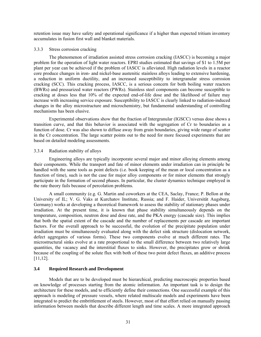retention issue may have safety and operational significance if a higher than expected tritium inventory accumulates in fusion first wall and blanket materials.

## 3.3.3 Stress corrosion cracking

The phenomenon of irradiation assisted stress corrosion cracking (IASCC) is becoming a major problem for the operation of light water reactors. EPRI studies estimated that savings of \$1 to 1.5M per plant per year can be achieved if the problem of IASCC is alleviated. High radiation levels in a reactor core produce changes in iron- and nickel-base austenitic stainless alloys leading to extensive hardening, a reduction in uniform ductility, and an increased susceptibility to intergranular stress corrosion cracking (SCC). This cracking process, IASCC, is a serious concern for both boiling water reactors (BWRs) and pressurized water reactors (PWRs). Stainless steel components can become susceptible to cracking at doses less that 10% of the expected end-of-life dose and the likelihood of failure may increase with increasing service exposure. Susceptibility to IASCC is clearly linked to radiation-induced changes in the alloy microstructure and microchemistry, but fundamental understanding of controlling mechanisms has been elusive.

Experimental observations show that the fraction of Intergranular (IGSCC) versus dose shows a transition curve, and that this behavior is associated with the segregation of Cr to boundaries as a function of dose. Cr was also shown to diffuse away from grain boundaries, giving wide range of scatter in the Cr concentration. The large scatter points out to the need for more focused experiments that are based on detailed modeling assessments.

# 3.3.4 Radiation stability of alloys

Engineering alloys are typically incorporate several major and minor alloying elements among their components. While the transport and fate of minor elements under irradiation can in principle be handled with the same tools as point defects (i.e. book keeping of the mean or local concentration as a function of time), such is not the case for major alloy components or for minor elements that strongly participate in the formation of second phases. In particular, the cluster dynamics technique employed in the rate theory fails because of percolation problems.

A small community (e.g. G. Martin and coworkers at the CEA, Saclay, France; P. Bellon at the University of IL; V. G. Vaks at Kurchatov Institute, Russia; and F. Haider, Universität Augsburg, Germany) works at developing a theoretical framework to assess the stability of stationary phases under irradiation. At the present time, it is known that phase stability simultaneously depends on the temperature, composition, neutron dose and dose rate, and the PKA energy (cascade size). This implies that both the spatial extent of the cascade and the number of replacements per cascade are important factors. For the overall approach to be successful, the evolution of the precipitate population under irradiation must be simultaneously evaluated along with the defect sink structure (dislocation network, defect aggregates of various forms). These two components evolve at much different rates. The microstructural sinks evolve at a rate proportional to the small difference between two relatively large quantities, the vacancy and the interstitial fluxes to sinks. However, the precipitates grow or shrink because of the coupling of the solute flux with both of these two point defect fluxes, an additive process [11,12].

# **3.4 Required Research and Development**

Models that are to be developed must be hierarchical, predicting macroscopic properties based on knowledge of processes starting from the atomic information. An important task is to design the architecture for these models, and to efficiently define their connections. One successful example of this approach is modeling of pressure vessels, where related multiscale models and experiments have been integrated to predict the embrittlement of steels. However, most of that effort relied on manually passing information between models that describe different length and time scales. A more integrated approach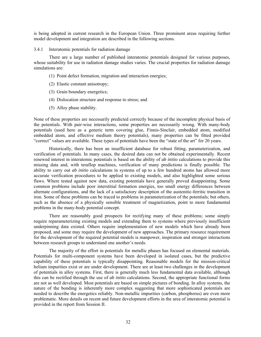is being adopted in current research in the European Union. Three prominent areas requiring further model development and integration are described in the following sections.

3.4.1 Interatomic potentials for radiation damage

There are a large number of published interatomic potentials designed for various purposes, whose suitability for use in radiation damage studies varies. The crucial properties for radiation damage simulations are:

- (1) Point defect formation, migration and interaction energies;
- (2) Elastic constant anisotropy;
- (3) Grain boundary energetics;
- (4) Dislocation structure and response to stress; and
- (5) Alloy phase stability.

None of these properties are necessarily predicted correctly because of the incomplete physical basis of the potentials. With pair-wise interactions, some properties are necessarily wrong. With many-body potentials (used here as a generic term covering glue, Finnis-Sinclair, embedded atom, modified embedded atom, and effective medium theory potentials), many properties can be fitted provided "correct" values are available. These types of potentials have been the "state of the art" for 20 years.

Historically, there has been an insufficient database for robust fitting, parameterization, and verification of potentials. In many cases, the desired data can not be obtained experimentally. Recent renewed interest in interatomic potentials is based on the ability of *ab initio* calculations to provide this missing data and, with teraflop machines, verification of many predictions is finally possible. The ability to carry out *ab initio* calculations in systems of up to a few hundred atoms has allowed more accurate verification procedures to be applied to existing models, and also highlighted some serious flaws. Where tested against new data, existing potentials have generally proved disappointing. Some common problems include poor interstitial formation energies, too small energy differences between alternate configurations, and the lack of a satisfactory description of the austenitic-ferritic transition in iron. Some of these problems can be traced to problems in parameterization of the potentials; but others, such as the absence of a physically sensible treatment of magnetization, point to more fundamental problems in the many-body potential concept.

There are reasonably good prospects for rectifying many of these problems; some simply require reparameterizing existing models and extending them to systems where previously insufficient underpinning data existed. Others require implementation of new models which have already been proposed, and some may require the development of new approaches. The primary resource requirement for the development of the required potential models is manpower, inspiration and stronger interactions between research groups to understand one another's needs.

The majority of the effort in potentials for metallic phases has focused on elemental materials. Potentials for multi-component systems have been developed in isolated cases, but the predictive capability of these potentials is typically disappointing. Reasonable models for the mission-critical helium impurities exist or are under development. There are at least two challenges in the development of potentials in alloy systems. First, there is generally much less fundamental data available, although this can be rectified through the use of *ab initio* calculations. Second, the appropriate functional forms are not as well developed. Most potentials are based on simple pictures of bonding. In alloy systems, the nature of the bonding is inherently more complex suggesting that more sophisticated potentials are needed to describe the energetics reliably. Non-metallic impurities (carbon, phosphorus) are even more problematic. More details on recent and future development efforts in the area of interatomic potential is provided in the report from Session II.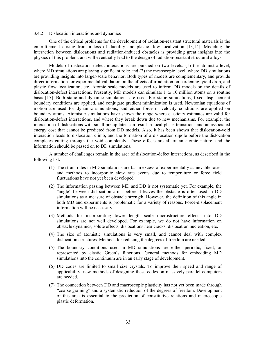#### 3.4.2 Dislocation interactions and dynamics

One of the critical problems for the development of radiation-resistant structural materials is the embrittlement arising from a loss of ductility and plastic flow localization [13,14]. Modeling the interaction between dislocations and radiation-induced obstacles is providing great insights into the physics of this problem, and will eventually lead to the design of radiation-resistant structural alloys.

Models of dislocation-defect interactions are pursued on two levels: (1) the atomistic level, where MD simulations are playing significant role; and (2) the mesoscopic level, where DD simulations are providing insights into larger-scale behavior. Both types of models are complementary, and provide direct information for experimental validation on the effects of irradiation on hardening, yield drop, and plastic flow localization, etc. Atomic scale models are used to inform DD models on the details of dislocation-defect interactions. Presently, MD models can simulate 1 to 10 million atoms on a routine basis [15]. Both static and dynamic simulations are used. For static simulations, fixed displacement boundary conditions are applied, and conjugate gradient minimization is used. Newtonian equations of motion are used for dynamic simulations, and either force or velocity conditions are applied on boundary atoms. Atomistic simulations have shown the range where elasticity estimates are valid for dislocation-defect interactions, and where they break down due to new mechanisms. For example, the interaction of dislocations with small precipitates can result in local phase transitions and an associated energy cost that cannot be predicted from DD models. Also, it has been shown that dislocation-void interaction leads to dislocation climb, and the formation of a dislocation dipole before the dislocation completes cutting through the void completely. These effects are all of an atomic nature, and the information should be passed on to DD simulations.

A number of challenges remain in the area of dislocation-defect interactions, as described in the following list:

- (1) The strain rates in MD simulations are far in excess of experimentally achievable rates, and methods to incorporate slow rate events due to temperature or force field fluctuations have not yet been developed.
- (2) The information passing between MD and DD is not systematic yet. For example, the "angle" between dislocation arms before it leaves the obstacle is often used in DD simulations as a measure of obstacle strength. However, the definition of this angle in both MD and experiments is problematic for a variety of reasons. Force-displacement information will be necessary.
- (3) Methods for incorporating lower length scale microstructure effects into DD simulations are not well developed. For example, we do not have information on obstacle dynamics, solute effects, dislocations near cracks, dislocation nucleation, etc.
- (4) The size of atomistic simulations is very small, and cannot deal with complex dislocation structures. Methods for reducing the degrees of freedom are needed.
- (5) The boundary conditions used in MD simulations are either periodic, fixed, or represented by elastic Green's functions. General methods for embedding MD simulations into the continuum are in an early stage of development.
- (6) DD codes are limited to small size crystals. To improve their speed and range of applicability, new methods of designing these codes on massively parallel computers are needed.
- (7) The connection between DD and macroscopic plasticity has not yet been made through "coarse graining" and a systematic reduction of the degrees of freedom. Development of this area is essential to the prediction of constitutive relations and macroscopic plastic deformation.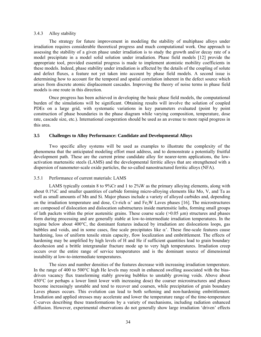#### 3.4.3 Alloy stability

The strategy for future improvement in modeling the stability of multiphase alloys under irradiation requires considerable theoretical progress and much computational work. One approach to assessing the stability of a given phase under irradiation is to study the growth and/or decay rate of a model precipitate in a model solid solution under irradiation. Phase field models [12] provide the appropriate tool, provided essential progress is made to implement atomistic mobility coefficients in these models. Indeed, phase stability under irradiation is affected by the details of the coupling of solute and defect fluxes, a feature not yet taken into account by phase field models. A second issue is determining how to account for the temporal and spatial correlation inherent in the defect source which arises from discrete atomic displacement cascades. Improving the theory of noise terms in phase field models is one route in this direction.

Once progress has been achieved in developing the basic phase field models, the computational burden of the simulations will be significant. Obtaining results will involve the solution of coupled PDEs on a large grid, with systematic variations in key parameters evaluated (point by point construction of phase boundaries in the phase diagram while varying composition, temperature, dose rate, cascade size, etc.). International cooperation should be used as an avenue to more rapid progress in this area.

## **3.5 Challenges to Alloy Performance: Candidate and Developmental Alloys**

Two specific alloy systems will be used as examples to illustrate the complexity of the phenomena that the anticipated modeling effort must address, and to demonstrate a potentially fruitful development path. These are the current prime candidate alloy for nearer-term applications, the lowactivation martensitic steels (LAMS) and the developmental ferritic alloys that are strengthened with a dispersion of nanometer-scale oxide particles, the so-called nanostructured ferritic alloys (NFA).

## 3.5.1 Performance of current materials: LAMS

LAMS typically contain 8 to 9%Cr and 1 to 2%W as the primary alloying elements, along with about 0.1%C and smaller quantities of carbide forming micro-alloying elements like Mo, V, and Ta as well as small amounts of Mn and Si. Major phases include a variety of alloyed carbides and, depending on the irradiation temperature and dose, Cr-rich  $\alpha'$  and Fe<sub>2</sub>W Laves phases [16]. The microstructures are composed of dislocation and dislocation substructures inside martensitic laths, forming small groups of lath packets within the prior austenitic grains. These coarse scale  $(0.05 \text{ µm})$  structures and phases form during processing and are generally stable at low-to-intermediate irradiation temperatures. In the regime below about 400°C, the dominant features induced by irradiation are dislocations loops, gas bubbles and voids, and in some cases, fine scale precipitates like  $\alpha'$ . These fine-scale features cause hardening, loss of uniform tensile strain capacity, flow localization and embrittlement. The effects of hardening may be amplified by high levels of H and He if sufficient quantities lead to grain boundary decohesion and a brittle intergranular fracture mode up to very high temperatures. Irradiation creep occurs over the entire range of service temperatures and is the dominant source of dimensional instability at low-to-intermediate temperatures.

The sizes and number densities of the features decrease with increasing irradiation temperature. In the range of 400 to 500 $^{\circ}$ C high He levels may result in enhanced swelling associated with the biasdriven vacancy flux transforming stably growing bubbles to unstably growing voids. Above about 450°C (or perhaps a lower limit lower with increasing dose) the coarser microstructures and phases become increasingly unstable and tend to recover and coarsen, while precipitation of grain boundary Laves phases occurs. This evolution can lead to both softening and non-hardening embrittlement. Irradiation and applied stresses may accelerate and lower the temperature range of the time-temperature C-curves describing these transformations by a variety of mechanisms, including radiation enhanced diffusion. However, experimental observations do not generally show large irradiation 'driven' effects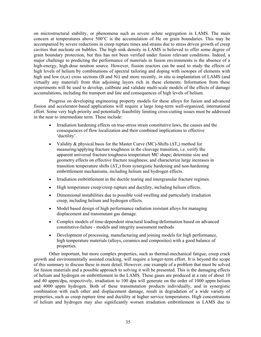on microstructural stability, or phenomena such as severe solute segregation in LAMS. The main concern at temperatures above 500°C is the accumulation of He on grain boundaries. This may be accompanied by severe reductions in creep rupture times and strains due to stress driven growth of creep cavities that nucleate on bubbles. The high sink density in LAMS is believed to offer some degree of grain boundary protection, but this has not been verified under fusion relevant conditions. Indeed, a major challenge to predicting the performance of materials in fusion environments is the absence of a high-energy, high-dose neutron source. However, fission reactors can be used to study the effects of high levels of helium by combinations of spectral tailoring and doping with isotopes of elements with high and low (n,α) cross sections (B and Ni) and more recently, *in situ* α-implantation of LAMS (and virtually any material) from thin adjoining layers rich in these elements. Information from these experiments will be used to develop, calibrate and validate multi-scale models of the effects of damage accumulations, including the transport and fate and consequences of high levels of helium.

Progress on developing engineering property models for these alloys for fusion and advanced fission and accelerator-based applications will require a large long-term well-organized, international effort. Some very high priority and potentially feasibility limiting cross-cutting issues must be addressed in the near to intermediate term. These include:

- Irradiation hardening effects on true-stress strain constitutive laws, the causes and the consequences of flow localization and their combined implications to effective 'ductility'.
- Validity & physical basis for the Master Curve (MC)-Shifts ( $\Delta T_0$ ) method for measuring/applying fracture toughness in the cleavage transition, i.e. verify the apparent universal fracture toughness temperature MC shape; determine size and geometry effects on effective fracture toughness; and characterize large increases in transition temperature shifts ( $\Delta T_0$ ) from synergistic hardening and non-hardening embrittlement mechanisms, including helium and hydrogen effects.
- Irradiation embrittlement in the ductile tearing and intergranular fracture regimes.
- High temperature creep/creep rupture and ductility, including helium effects.
- Dimensional instabilities due to possible void swelling and particularly irradiation creep, including helium and hydrogen effects.
- Model based design of high performance radiation resistant alloys for managing displacement and transmutant gas damage.
- Complex models of time-dependent structural loading/deformation based on advanced constitutive-failure - models and integrity assessment methods
- Development of processing, manufacturing and joining models for high performance, high temperature materials (alloys, ceramics and composites) with a good balance of properties.

Other important, but more complex properties, such as thermal-mechanical fatigue, creep crack growth and environmentally assisted cracking, will require a longer-term effort. It is beyond the scope of this summary to discuss these in more detail. However, one example of a problem that must be solved for fusion materials and a possible approach to solving it will be presented. This is the damaging effects of helium and hydrogen on embrittlement in the LAMS. These gases are produced at a rate of about 10 and 40 appm/dpa, respectively, irradiation to 100 dpa will generate on the order of 1000 appm helium and 4000 appm hydrogen. Both of these transmutation products individually, and in synergistic combination with each other and displacement damage, result in degradation of a wide variety of properties, such as creep rupture time and ductility at higher service temperatures. High concentrations of helium and hydrogen may also significantly worsen irradiation embrittlement in LAMS due to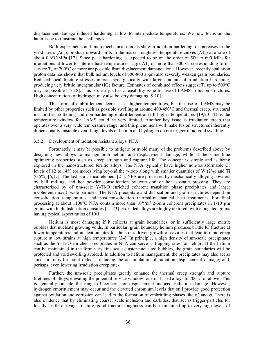displacement damage induced hardening at low to intermediate temperatures. We now focus on the latter issue to illustrate the challenges.

Both experiments and micromechanical models show irradiation hardening, or increases in the yield stress ( $\Delta \sigma_{\rm v}$ ), produce upward shifts in the master toughness-temperature curves ( $\Delta T_{\rm o}$ ) at a rate of about 0.6°C/MPa [17]. Since peak hardening is expected to be on the order of 500 to 600 MPa for irradiations at lower to intermediate temperatures, large  $\Delta T_0$  of more that 300°C, corresponding to inservice  $T<sub>o</sub>$  of 200 $^{\circ}$ C or more are possible from displacement damage alone. However, recently spallation proton data has shown that bulk helium levels of 600-800 appm also severely weaken grain boundaries. Reduced local fracture stresses interact synergistically with large amounts of irradiation hardening, producing very brittle intergranular (IG) facture. Estimates of combined effects suggest  $T_0$  up to 500°C may be possible [17,18]. This is clearly a basic feasibility issue for use of LAMS in fusion structures. High concentrations of hydrogen may also be very damaging [9,10].

This form of embrittlement decreases at higher temperatures, but the use of LAMS may be limited by other properties such as possible swelling at around 400-450°C and thermal creep, structural instabilities, softening and non-hardening embrittlement at still higher temperatures [19,20]. Thus the temperature window for LAMS could be very limited. Another key issue is irradiation creep that operates over a very wide temperature range; and this phenomena will make fusion structures inherently dimensionally unstable even if high levels of helium and hydrogen do not trigger rapid void swelling.

#### 3.5.2 Development of radiation resistant alloys: NFA

Fortunately it may be possible to mitigate or avoid many of the problems described above by designing new alloys to manage both helium and displacement damage, while at the same time optimizing properties such as creep strength and rupture life. The concept is simple and is being explored in the nanostructured ferritic alloys. The NFA typically have higher non-transformable Cr levels of 12 to 14% (or more) lying beyond the γ-loop along with smaller quantities of W (2%) and Ti (0.5%) [6,17]. The last is a critical element [21]. NFA are processed by mechanically alloying powders by ball milling, and hot powder consolidation by extrusion or hot isostatic pressing. They are characterized by of nm-scale Y-Ti-O enriched coherent transition phase precipitates and larger incoherent mixed oxide particles. The NFA precipitate and dislocation and grain structures depend on consolidation temperatures and post-consolidation thermal-mechanical heat treatments. For final processing at about 1100°C NFA contain more than  $10^{23}/m^3$  2-3nm coherent precipitates in 1-10  $\mu$ m grains with high dislocation densities [21-23]. Extruded alloys are highly textured, with elongated grains having typical aspect ratios of 10/1.

Helium is most damaging if it collects at grain boundaries, or in sufficiently large matrix bubbles that nucleate growing voids. In particular, grain boundary helium produces brittle IG fracture at lower temperatures and nucleation sites for the stress driven growth of cavities that lead to rapid creep rupture at low strains at high temperatures [24]. In principle, a high density of nm-scale precipitates such as the Y-Ti-O enriched precipitates in NFA can serve as trapping sites for helium. If the helium can be maintained in the form very fine scale cluster-nucleated bubbles, the grain boundaries will be protected and void swelling avoided. In addition to helium management, the precipitates may also act as sinks or traps for point defects, reducing the accumulation of radiation displacement damage; and, perhaps, even lowering irradiation creep rates.

Further, the nm-scale precipitates greatly enhance the thermal creep strength and rupture lifetimes of alloys, elevating the potential service window for iron-based alloys to 700°C or above. This is generally outside the range of concern for displacement induced radiation damage. However, hydrogen embrittlement may occur and the elevated chromium levels that still provide good protection against oxidation and corrosion can lead to the formation of embrittling phases like  $\alpha'$  and  $\sigma$ . There is also evidence that by eliminating coarser scale inclusion and carbides, that act as trigger-particles for locally brittle cleavage fracture, good fracture toughness can be maintained up to very high levels of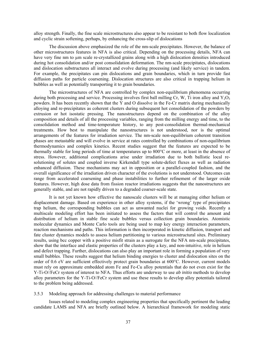alloy strength. Finally, the fine scale microstructures also appear to be resistant to both flow localization and cyclic strain softening, perhaps, by enhancing the cross-slip of dislocations

The discussion above emphasized the role of the nm-scale precipitates. However, the balance of other microstructures features in NFA is also critical. Depending on the processing details, NFA can have very fine nm to  $\mu$ m scale re-crystallized grains along with a high dislocation densities introduced during hot consolidation and/or post consolidation deformation. The nm-scale precipitates, dislocations and dislocation substructures all interact and evolve during processing (and likely service) in tandem. For example, the precipitates can pin dislocations and grain boundaries, which in turn provide fast diffusion paths for particle coarsening. Dislocation structures are also critical in trapping helium in bubbles as well as potentially transporting it to grain boundaries.

The microstructures of NFA are controlled by complex non-equilibrium phenomena occurring during both processing and service. Processing involves first ball milling Cr, W, Ti iron alloy and  $Y_2O_3$ powders. It has been recently shown that the Y and O dissolve in the Fe-Cr matrix during mechanically alloying and re-precipitates as coherent clusters during subsequent hot consolidation of the powders by extrusion or hot isostatic pressing. The nanostructures depend on the combination of the alloy composition and details of all the processing variables, ranging from the milling energy and time, to the consolidation method and time-temperature history, to any post-consolidation thermal-mechanical treatments. How best to manipulate the nanostructures is not understood, nor is the optimal arrangements of the features for irradiation service. The nm-scale non-equilibrium coherent transition phases are metastable and will evolve in service at rates controlled by combinations of non-equilibrium thermodynamics and complex kinetics. Recent studies suggest that the features are expected to be thermally stable for long periods of time at temperatures up to 800°C or more, at least in the absence of stress. However, additional complications arise under irradiation due to both ballistic local resolutioning of solutes and coupled inverse Kirkendall type solute-defect fluxes as well as radiation enhanced diffusion. These mechanisms may act in opposition or a parallel-coupled fashion, and the overall significance of the irradiation driven character of the evolutions is not understood. Outcomes can range from accelerated coarsening and phase instabilities to further refinement of the larger oxide features. However, high dose data from fission reactor irradiations suggests that the nanostructures are generally stable, and are not rapidly driven to a degraded coarser-scale state.

It is not yet known how effective the nanoscale clusters will be at managing either helium or displacement damage. Based on experience in other alloy systems, if the 'wrong' type of precipitates trap helium, the corresponding bubbles can act as unwanted nuclei for growing voids. Recently a multiscale modeling effort has been initiated to assess the factors that will control the amount and distribution of helium in stable fine scale bubbles versus collection grain boundaries. Atomistic molecular dynamics and Monte Carlo tools are being used to map key energy interaction parameters, reaction mechanisms and paths. This information is then incorporated in kinetic diffusion, transport and fate cluster dynamics models to assess helium partitioning to various microstructural sites. Preliminary results, using bcc copper with a positive misfit strain as a surrogate for the NFA nm-scale precipitates, show that the interface and elastic properties of the clusters play a key, and non-intuitive, role in helium and defect trapping. Further, dislocations can also play an important role in forming a population of very small bubbles. These results suggest that helium binding energies to cluster and dislocation sites on the order of 0.6 eV are sufficient effectively protect grain boundaries at 600°C. However, current models must rely on approximate embedded atom Fe and Fe-Cu alloy potentials that do not even exist for the Y-Ti-O//FeCr system of interest to NFA. Thus efforts are underway to use *ab initio* methods to develop alloy parameters for the Y-Ti-O//FeCr system and use these results to develop alloy potentials tailored to the problem being addressed.

#### 3.5.3 Modeling approach for addressing challenges to material performance

Issues related to modeling complex engineering properties that specifically pertinent the leading candidate LAMS and NFA are briefly outlined below. A hierarchical framework for modeling static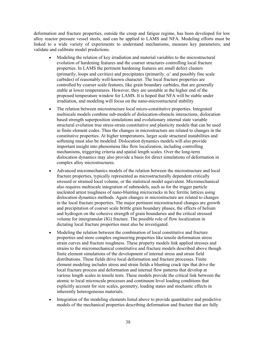deformation and fracture properties, outside the creep and fatigue regime, has been developed for low alloy reactor pressure vessel steels, and can be applied to LAMS and NFA. Modeling efforts must be linked to a wide variety of experiments to understand mechanisms, measure key parameters, and validate and calibrate model predictions.

- Modeling the relation of key irradiation and material variables to the microstructural evolution of hardening features and the coarser structures controlling local fracture properties. In LAMS the pertinent hardening features are small defect clusters (primarily, loops and cavities) and precipitates (primarily,  $\alpha'$  and possibly fine scale carbides) of reasonably well-known character. The local fracture properties are controlled by coarser scale features, like grain boundary carbides, that are generally stable at lower temperatures. However, they are unstable at the higher end of the proposed temperature window for LAMS. It is hoped that NFA will be stable under irradiation, and modeling will focus on the nano-microstructural stability
- The relation between microstructure local micro-constitutive properties. Integrated multiscale models combine sub-models of dislocation-obstacle interactions, dislocation based strength superposition simulations and evolutionary internal state variable structural evolution true stress-strain constitutive and plasticity models that can be used in finite element codes. Thus the changes in microstructure are related to changes in the constitutive properties. At higher temperatures, larger scale structural instabilities and softening must also be modeled. Dislocation dynamics models will also provide important insight into phenomena like flow localization, including controlling mechanisms, triggering criteria and spatial length scales. Over the long-term dislocation dynamics may also provide a basis for direct simulations of deformation in complex alloy microstructures.
- Advanced micromechanics models of the relation between the microstructure and local fracture properties, typically represented as microstructurally dependent critically stressed or strained local volume, or the statistical model equivalent. Micromechanical also requires multiscale integration of submodels, such as for the trigger particle nucleated arrest toughness of nano-blunting microcracks in bcc ferritic lattices using dislocation dynamics methods. Again changes in microstructure are related to changes in the local fracture properties. The major pertinent microstructural changes are growth and precipitation of coarser scale brittle grain boundary phases, the effects of helium and hydrogen on the cohesive strength of grain boundaries and the critical stressed volume for intergranular (IG) fracture. The possible role of flow localization in dictating local fracture properties must also be investigated.
- Modeling the relation between the combination of local constitutive and fracture properties and more complex engineering properties like tensile deformation stress strain curves and fracture toughness. These property models link applied stresses and strains to the micromechanical constitutive and fracture models described above though finite element simulations of the development of internal stress and strain field distributions. These fields drive local deformation and fracture processes. Finite element modeling includes stress and strain fields a blunting crack tips that drive the local fracture process and deformation and internal flow patterns that develop at various length scales in tensile tests. These models provide the critical link between the atomic to local microscale processes and continuum level loading conditions that explicitly account for size scales, geometry, loading states and stochastic effects in inherently heterogeneous materials.
- Integration of the modeling elements listed above to provide quantitative and predictive models of the mechanical properties describing deformation and fracture that are fully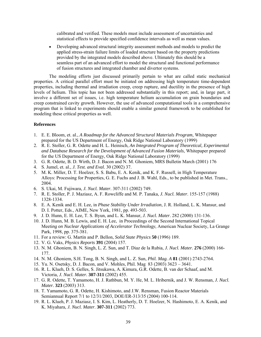calibrated and verified. These models must include assessment of uncertainties and statistical effects to provide specified confidence intervals as well as mean values.

• Developing advanced structural integrity assessment methods and models to predict the applied stress-strain failure limits of loaded structure based on the property predictions provided by the integrated models described above. Ultimately this should be a seamless part of an advanced effort to model the structural and functional performance of fusion structures and integrated chamber and divertor systems.

The modeling efforts just discussed primarily pertain to what are called static mechanical properties. A critical parallel effort must be initiated on addressing high temperature time-dependent properties, including thermal and irradiation creep, creep rupture, and ductility in the presence of high levels of helium. This topic has not been addressed substantially in this report; and, in large part, it involve a different set of issues, i.e. high temperature helium accumulation on grain boundaries and creep constrained cavity growth. However, the use of advanced computational tools in a comprehensive program that is linked to experiments should enable a similar general framework to be established for modeling these critical properties as well.

#### **References**

- 1. E. E. Bloom, et. al., *A Roadmap for the Advanced Structural Materials Program,* Whitepaper prepared for the US Department of Energy, Oak Ridge National Laboratory (1999)
- 2. R. E. Stoller, G. R. Odette and H. L. Heinisch, *An Integrated Program of Theoretical, Experimental and Database Research for the Development of Advanced Fusion Materials*, Whitepaper prepared for the US Department of Energy, Oak Ridge National Laboratory (1999)
- 3. G. R. Odette, B. D. Wirth, D. J. Bacon and N. M. Ghoniem, MRS Bulletin March (2001) 176
- 4. S. Jumel, et. al., *J. Test. and Eval.* 30 (2002) 37.
- 5. M. K. Miller, D. T. Hoelzer, S. S. Babu, E. A. Kenik, and K. F. Russell, in High Temperature Alloys: Processing for Properties, G. E. Fuchs and J. B. Wahl, Eds., to be published in Met. Trans., 2004.
- 6. S. Ukai, M. Fujiwara, *J. Nucl. Mater*. 307-311 (2002) 749.
- 7. R. E. Stoller, P. J. Maziasz, A. F. Rowcliffe and M. P. Tanaka, *J. Nucl. Mater*. 155-157 (1988) 1328-1334.
- 8. E. A. Kenik and E. H. Lee, in *Phase Stability Under Irradiation*, J. R. Holland, L. K. Mansur, and D. I. Potter, Eds., AIME, New York, 1981, pp. 493-503.
- 9. J. D. Hunn, E. H. Lee, T. S. Byun, and L. K. Mansur, *J. Nucl. Mater*. 282 (2000) 131-136.
- 10. J. D. Hunn, M. B. Lewis, and E. H. Lee, in Proceedings of the Second International Topical Meeti*ng on Nuclear Applications of Accelerator Technology*, American Nuclear Society, La Grange Park, 1998, pp. 375-381.
- 11. For a review: G. Martin and P. Bellon, *Solid State Physics* **50** (1996) 189.
- 12. V. G. Vaks, *Physics Reports* **391** (2004) 157.
- 13. N. M. Ghoniem, B. N. Singh, L. Z. Sun, and T. Diaz de la Rubia, *J. Nucl. Mater.* **276** (2000) 166- 177.
- 14. N. M. Ghoniem, S.H. Tong, B. N. Singh, and L. Z. Sun, *Phil. Mag. A* **81** (2001) 2743-2764.
- 15. Yu. N. Osetsky, D. J. Bacon, and V. Mohles, Phil. Mag 83 (2003) 3623 3641.
- 16. R. L. Klueh, D. S. Gelles, S. Jitsukawa, A. Kimura, G.R. Odette, B. van der Schaaf, and M. Victoria, *J. Nucl. Mater.* **307-311** (2002) 455.
- 17. G. R. Odette, T. Yamamoto, H. J. Rathbun, M. Y. He, M. L. Hribernik, and J. W. Rensman, *J. Nucl. Mater.* **323** (2003) 313.
- 18. T. Yamamoto, G. R. Odette, H. Kishimoto, and J.W. Rensman, Fusion Reactor Materials Semiannual Report 7/1 to 12/31/2003, DOE/ER-313/35 (2004) 100-114.
- 19. R. L. Klueh, P. J. Maziasz, I. S. Kim, L. Heatherly, D. T. Hoelzer, N. Hashimoto, E. A. Kenik, and K. Miyahara, *J. Nucl. Mater*. **307-311** (2002) 773.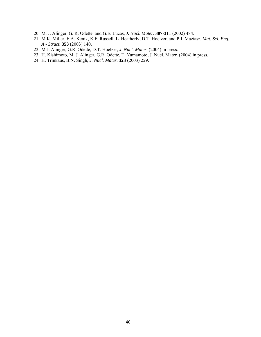- 20. M. J. Alinger, G. R. Odette, and G.E. Lucas, *J. Nucl. Mater*. **307-311** (2002) 484.
- 21. M.K. Miller, E.A. Kenik, K.F. Russell, L. Heatherly, D.T. Hoelzer, and P.J. Maziasz, *Mat. Sci. Eng. A - Struct.* **353** (2003) 140.
- 22. M.J. Alinger, G.R. Odette, D.T. Hoelzer, *J. Nucl. Mater*. (2004) in press.
- 23. H. Kishimoto, M. J. Alinger, G.R. Odette, T. Yamamoto, J. Nucl. Mater. (2004) in press.
- 24. H. Trinkaus, B.N. Singh, *J. Nucl. Mater*. **323** (2003) 229.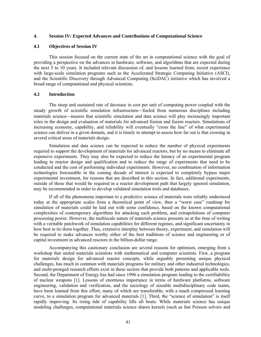#### **4. Session IV: Expected Advances and Contributions of Computational Science**

#### **4.1 Objectives of Session IV**

This session focused on the current state of the art in computational science with the goal of providing a perspective on the advances in hardware, software, and algorithms that are expected during the next 5 to 10 years. It included relevant discussion of, and lessons learned from, recent experience with large-scale simulation programs such as the Accelerated Strategic Computing Initiative (ASCI), and the Scientific Discovery through Advanced Computing (SciDAC) initiative which has involved a broad range of computational and physical scientists.

## **4.2 Introduction**

The steep and sustained rate of decrease in cost per unit of computing power coupled with the steady growth of scientific simulation infrastructure—fueled from numerous disciplines including materials science—insures that scientific simulation and data science will play increasingly important roles in the design and evaluation of materials for advanced fission and fusion reactors. Simulations of increasing economy, capability, and reliability will eventually "cross the line" of what experimental science can deliver in a given domain, and it is timely to attempt to assess how far out is that crossing in several critical areas of materials design.

Simulation and data science can be expected to reduce the number of physical experiments required to support the development of materials for advanced reactors, but by no means to eliminate all expensive experiments. They may also be expected to reduce the latency of an experimental program leading to reactor design and qualification and to reduce the range of experiments that need to be conducted and the cost of performing individual experiments. However, no combination of information technologies foreseeable in the coming decade of interest is expected to completely bypass major experimental investment, for reasons that are described in this section. In fact, additional experiments, outside of those that would be required in a reactor development path that largely ignored simulation, may be recommended in order to develop validated simulation tools and databases.

If all of the phenomena important to a predictive science of materials were reliably understood today at the appropriate scales from a theoretical point of view, then a "worst case" roadmap for simulation of materials could be laid out with some confidence, based on the known computational complexities of contemporary algorithms for attacking each problem, and extrapolations of computer processing power. However, the multiscale nature of materials science presents us at the time of writing with a veritable patchwork of simulation capabilities for different regimes, and significant uncertainty in how best to tie them together. Thus, extensive interplay between theory, experiment, and simulation will be required to make advances worthy either of the best traditions of science and engineering or of capital investment in advanced reactors in the billion-dollar range.

Accompanying this cautionary conclusion are several reasons for optimism, emerging from a workshop that united materials scientists with mathematical and computer scientists. First, a program for materials design for advanced reactor concepts, while arguably presenting unique physical challenges, has much in common with materials programs for military and other industrial technologies, and multi-pronged research efforts exist in these sectors that provide both patterns and applicable tools. Second, the Department of Energy has had since 1996 a simulation program leading to the certifiabilitiy of nuclear weapons [1]. Lessons of enormous importance in terms of hardware platforms, software engineering, validation and verification, and the sociology of sizeable multidisciplinary code teams, have been learned from this effort, many of which are transferable, with a much compressed learning curve, to a simulation program for advanced materials [1]. Third, the "science of simulation" is itself rapidly improving. Its rising tide of capability lifts all boats. While materials science has unique modeling challenges, computational materials science shares kernels (such as fast Poisson solvers and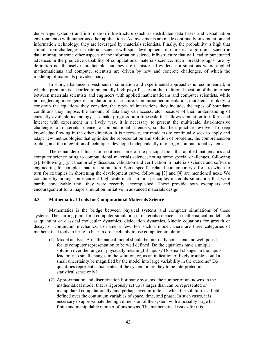dense eigensystems) and information infrastructure (such as distributed data bases and visualization environments) with numerous other applications. As investments are made continually in simulation and information technology, they are leveraged by materials scientists. Finally, the probability is high that stimuli from challenges in materials science will spur developments in numerical algorithms, scientific data mining, or some other aspects of the information science infrastructure that will lead to punctuated advances in the predictive capability of computational materials science. Such "breakthroughs" are by definition not themselves predictable, but they are in historical evidence in situations where applied mathematicians and computer scientists are driven by new and concrete challenges, of which the modeling of materials provides many.

In short, a balanced investment in simulation and experimental approaches is recommended, in which a premium is accorded to potentially high-payoff issues at the traditional location of the interface between materials scientists and engineers with applied mathematicians and computer scientists, while not neglecting more generic simulation infrastructure. Commissioned in isolation, modelers are likely to constrain the equations they consider, the types of interactions they include, the types of boundary conditions they impose, the amount of data they can access, etc., because of their understanding of currently available technology. To make progress on a timescale that allows simulation to inform and interact with experiment in a lively way, it is necessary to present the multiscale, data-intensive challenges of materials science to computational scientists, so that best practices evolve. To keep knowledge flowing in the other direction, it is necessary for modelers to continually seek to apply and adapt new methodologies that optimize the representation and solution of problems, the comprehension of data, and the integration of techniques developed independently into larger computational systems.

The remainder of this section outlines some of the principal tools that applied mathematics and computer science bring to computational materials science, noting some special challenges, following [2]. Following [1], it then briefly discusses validation and verification in materials science and software engineering for complex materials simulation. Some specific related contemporary efforts to which to turn for examples in shortening the development curve, following [3] and [4] are mentioned next. We conclude by noting some current high watermarks in first-principles materials simulation that were barely conceivable until they were recently accomplished. These provide both exemplars and encouragement for a major simulation initiative in advanced materials design.

## **4.3 Mathematical Tools for Computational Materials Science**

Mathematics is the bridge between physical systems and computer simulations of those systems. The starting point for a computer simulation in materials science is a mathematical model such as quantum or classical molecular dynamics, dislocation dynamics, kinetic equations for growth or decay, or continuum mechanics, to name a few. For such a model, there are three categories of mathematical tools to bring to bear in order reliably to use computer simulations.

- (1) Model analysis A mathematical model should be internally consistent and well posed for its computer representation to be well defined. Do the equations have a unique solution over the range of physically meaningful inputs? Do small changes in the inputs lead only to small changes in the solution, or, as an indication of likely trouble, could a small uncertainty be magnified by the model into large variability in the outcome? Do quantities represent actual states of the system or are they to be interpreted in a statistical sense only?
- (2) Approximation and discretization For many systems, the number of unknowns in the mathematical model that is rigorously set up is larger than can be represented or manipulated computationally, and perhaps even infinite, as when the solution is a field defined over the continuum variables of space, time, and phase. In such cases, it is necessary to approximate the high dimension of the system with a possibly large but finite and manipulable number of unknowns. The mathematical issues for this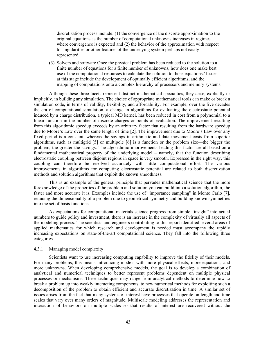discretization process include: (1) the convergence of the discrete approximation to the original equations as the number of computational unknowns increases in regimes where convergence is expected and (2) the behavior of the approximation with respect to singularities or other features of the underlying system perhaps not easily represented.

(3) Solvers and software Once the physical problem has been reduced to the solution to a finite number of equations for a finite number of unknowns, how does one make best use of the computational resources to calculate the solution to those equations? Issues at this stage include the development of optimally efficient algorithms, and the mapping of computations onto a complex hierarchy of processors and memory systems.

Although these three facets represent distinct mathematical specialties, they arise, explicitly or implicitly, in building any simulation. The choice of appropriate mathematical tools can make or break a simulation code, in terms of validity, flexibility, and affordability. For example, over the five decades the era of computational simulation, a change in algorithms for evaluating the electrostatic potential induced by a charge distribution, a typical MD kernel, has been reduced in cost from a polynomial to a linear function in the number of discrete charges or points of evaluation. The improvement resulting from this algorithmic speedup exceeds by an arbitrary factor that resulting from the hardware speedup due to Moore's Law over the same length of time [2]. The improvement due to Moore's Law over any fixed period is a constant, whereas the savings in arithmetic and data movement costs from superior algorithms, such as multigrid [5] or multipole [6] is a function or the problem size—the bigger the problem, the greater the savings. The algorithmic improvements leading this factor are all based on a fundamental mathematical property of the underlying model – namely, that the function describing electrostatic coupling between disjoint regions in space is very smooth. Expressed in the right way, this coupling can therefore be resolved accurately with little computational effort. The various improvements in algorithms for computing electrostatic potential are related to both discretization methods and solution algorithms that exploit the known smoothness.

This is an example of the general principle that pervades mathematical science that the more foreknowledge of the properties of the problem and solution you can build into a solution algorithm, the faster and more accurate it is. Examples include the use of "importance sampling" in Monte Carlo [7], reducing the dimensionality of a problem due to geometrical symmetry and building known symmetries into the set of basis functions.

As expectations for computational materials science progress from simple "insight" into actual numbers to guide policy and investment, there is an increase in the complexity of virtually all aspects of the modeling process. The scientists and engineers contributing to this report identified several areas of applied mathematics for which research and development is needed must accompany the rapidly increasing expectations on state-of-the-art computational science. They fall into the following three categories.

#### 4.3.1 Managing model complexity

Scientists want to use increasing computing capability to improve the fidelity of their models. For many problems, this means introducing models with more physical effects, more equations, and more unknowns. When developing comprehensive models, the goal is to develop a combination of analytical and numerical techniques to better represent problems dependent on multiple physical processes or mechanisms. These techniques may range from analytical methods to determine how to break a problem up into weakly interacting components, to new numerical methods for exploiting such a decomposition of the problem to obtain efficient and accurate discretization in time. A similar set of issues arises from the fact that many systems of interest have processes that operate on length and time scales that vary over many orders of magnitude. Multiscale modeling addresses the representation and interaction of behaviors on multiple scales so that results of interest are recovered without the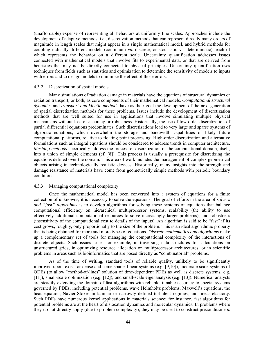(unaffordable) expense of representing all behaviors at uniformly fine scales. Approaches include the development of adaptive methods, i.e., discretization methods that can represent directly many orders of magnitude in length scales that might appear in a single mathematical model, and hybrid methods for coupling radically different models (continuum vs. discrete, or stochastic vs. deterministic), each of which represents the behavior on a different scale. Uncertainty quantification addresses issues connected with mathematical models that involve fits to experimental data, or that are derived from heuristics that may not be directly connected to physical principles. Uncertainty quantification uses techniques from fields such as statistics and optimization to determine the sensitivity of models to inputs with errors and to design models to minimize the effect of those errors.

# 4.3.2 Discretization of spatial models

Many simulations of radiation damage in materials have the equations of structural dynamics or radiation transport, or both, as core components of their mathematical models. *Computational structural dynamics* and *transport and kinetic methods* have as their goal the development of the next generation of spatial discretization methods for these problems. Issues include the development of discretization methods that are well suited for use in applications that involve simulating multiple physical mechanisms without loss of accuracy or robustness. Historically, the use of low order discretization of partial differential equations predominates. Such discretizations lead to very large and sparse systems of algebraic equations, which overwhelm the storage and bandwidth capabilities of likely future computational platforms, relative to floating point processing. High-order discretization and alternative formulations such as integral equations should be considered to address trends in computer architecture. *Meshing methods* specifically address the process of discretization of the computational domain, itself, into a union of simple elements (cf. [8]). This process is usually a prerequisite for discretizing the equations defined over the domain. This area of work includes the management of complex geometrical objects arising in technologically realistic devices. Historically, many insights into the strength and damage resistance of materials have come from geometrically simple methods with periodic boundary conditions.

#### 4.3.3 Managing computational complexity

Once the mathematical model has been converted into a system of equations for a finite collection of unknowns, it is necessary to solve the equations. The goal of efforts in the area of *solvers and "fast" algorithms* is to develop algorithms for solving these systems of equations that balance computational efficiency on hierarchical multiprocessor systems, scalability (the ability to use effectively additional computational resources to solve increasingly larger problems), and robustness (insensitivity of the computational cost to details of the inputs). An algorithm is said to be "fast" if its cost grows, roughly, only proportionally to the size of the problem. This is an ideal algorithmic property that is being obtained for more and more types of equations. *Discrete mathematics and algorithms* make up a complementary set of tools for managing the computational complexity of the interactions of discrete objects. Such issues arise, for example, in traversing data structures for calculations on unstructured grids, in optimizing resource allocation on multiprocessor architectures, or in scientific problems in areas such as bioinformatics that are posed directly as "combinatorial" problems.

As of the time of writing, standard tools of reliable quality, unlikely to be significantly improved upon, exist for dense and some sparse linear systems (e.g. [9,10]), moderate scale systems of ODEs (to allow "method-of-lines" solution of time-dependent PDEs as well as discrete systems, e.g. [11]), small-scale optimization (e.g. [12]), and small-scale eigenanalysis (e.g. [13]). Numerical analysts are steadily extending the domain of fast algorithms with reliable, tunable accuracy to special systems governed by PDEs, including potential problems, wave Helmholtz problems, Maxwell's equations, the heat equation, Navier-Stokes in laminar or narrowly defined turbulent regimes, and linear elasticity. Such PDEs have numerous kernel applications in materials science; for instance, fast algorithms for potential problems are at the heart of dislocation dynamics and molecular dynamics. In problems where they do not directly apply (due to problem complexity), they may be used to construct preconditioners.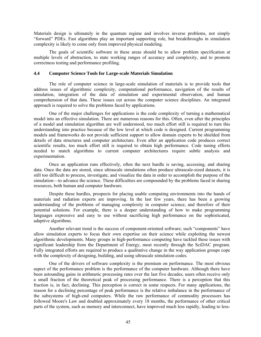Materials design is ultimately in the quantum regime and involves inverse problems, not simply "forward" PDEs. Fast algorithms play an important supporting role, but breakthroughs in simulation complexity is likely to come only from improved physical modeling.

The goals of scientific software in these areas should be to allow problem specification at multiple levels of abstraction, to state working ranges of accuracy and complexity, and to promote correctness testing and performance profiling.

# **4.4 Computer Science Tools for Large-scale Materials Simulation**

The role of computer science in large-scale simulation of materials is to provide tools that address issues of algorithmic complexity, computational performance, navigation of the results of simulation, integration of the data of simulation and experimental observation, and human comprehension of that data. These issues cut across the computer science disciplines. An integrated approach is required to solve the problems faced by applications.

One of the major challenges for applications is the code complexity of turning a mathematical model into an effective simulation. There are numerous reasons for this. Often, even after the principles of a model and simulation algorithm are well understood, too much effort still is required to turn this understanding into practice because of the low level at which code is designed. Current programming models and frameworks do not provide sufficient support to allow domain experts to be shielded from details of data structures and computer architecture. Even after an application code produces correct scientific results, too much effort still is required to obtain high performance. Code tuning efforts needed to match algorithms to current computer architectures require subtle analysis and experimentation.

Once an application runs effectively, often the next hurdle is saving, accessing, and sharing data. Once the data are stored, since ultrascale simulations often produce ultrascale-sized datasets, it is still too difficult to process, investigate, and visualize the data in order to accomplish the purpose of the simulation—to advance the science. These difficulties are compounded by the problems faced in sharing resources, both human and computer hardware.

Despite these hurdles, prospects for placing usable computing environments into the hands of materials and radiation experts are improving. In the last few years, there has been a growing understanding of the problems of managing complexity in computer science, and therefore of their potential solutions. For example, there is a deeper understanding of how to make programming languages expressive and easy to use without sacrificing high performance on the sophisticated, adaptive algorithms.

Another relevant trend is the success of component-oriented software; such "components" have allow simulation experts to focus their own expertise on their science while exploiting the newest algorithmic developments. Many groups in high-performance computing have tackled these issues with significant leadership from the Department of Energy, most recently through the SciDAC program. Fully integrated efforts are required to produce a qualitative change in the way application groups cope with the complexity of designing, building, and using ultrascale simulation codes.

One of the drivers of software complexity is the premium on performance. The most obvious aspect of the performance problem is the performance of the computer hardware. Although there have been astounding gains in arithmetic processing rates over the last five decades, users often receive only a small fraction of the theoretical peak of processing performance. There is a perception that this fraction is, in fact, declining. This perception is correct in some respects. For many applications, the reason for a declining percentage of peak performance is the relative imbalance in the performance of the subsystems of high-end computers. While the raw performance of commodity processors has followed Moore's Law and doubled approximately every 18 months, the performance of other critical parts of the system, such as memory and interconnect, have improved much less rapidly, leading to less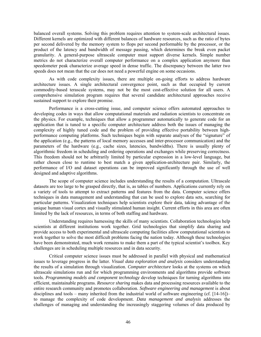balanced overall systems. Solving this problem requires attention to system-scale architectural issues. Different kernels are optimized with different balances of hardware resources, such as the ratio of bytes per second delivered by the memory system to flops per second performable by the processor, or the product of the latency and bandwidth of message passing, which determines the break even packet granularity. A general-purpose ultrascale computer must support diverse kernels. Simple number metrics do not characterize overall computer performance on a complex application anymore than speedometer peak characterize average speed in dense traffic. The discrepancy between the latter two speeds does not mean that the car does not need a powerful engine on some occasions.

As with code complexity issues, there are multiple on-going efforts to address hardware architecture issues. A single architectural convergence point, such as that occupied by current commodity-based terascale systems, may not be the most cost-effective solution for all users. A comprehensive simulation program requires that several candidate architectural approaches receive sustained support to explore their promise.

Performance is a cross-cutting issue, and computer science offers automated approaches to developing codes in ways that allow computational materials and radiation scientists to concentrate on the physics. For example, techniques that allow a programmer automatically to generate code for an application that is tuned to a specific computer architecture address both the issues of managing the complexity of highly tuned code and the problem of providing effective portability between highperformance computing platforms. Such techniques begin with separate analyses of the "signature" of the application (e.g., the patterns of local memory accesses and inter-processor communication) and the parameters of the hardware (e.g., cache sizes, latencies, bandwidths). There is usually plenty of algorithmic freedom in scheduling and ordering operations and exchanges while preserving correctness. This freedom should not be arbitrarily limited by particular expression in a low-level language, but rather chosen close to runtime to best match a given application-architecture pair. Similarly, the performance of I/O and dataset operations can be improved significantly through the use of well designed and adaptive algorithms.

The scope of computer science includes understanding the results of a computation. Ultrascale datasets are too large to be grasped directly, that is, as tables of numbers. Applications currently rely on a variety of tools to attempt to extract patterns and features from the data. Computer science offers techniques in data management and understanding that can be used to explore data sets, searching for particular patterns. Visualization techniques help scientists explore their data, taking advantage of the unique human visual cortex and visually stimulated human insight. Current efforts in this area are often limited by the lack of resources, in terms of both staffing and hardware.

Understanding requires harnessing the skills of many scientists. Collaboration technologies help scientists at different institutions work together. Grid technologies that simplify data sharing and provide access to both experimental and ultrascale computing facilities allow computational scientists to work together to solve the most difficult problems facing the nation today. Although these technologies have been demonstrated, much work remains to make them a part of the typical scientist's toolbox. Key challenges are in scheduling multiple resources and in data security.

Critical computer science issues must be addressed in parallel with physical and mathematical issues to leverage progress in the latter. *Visual data exploration and analysis* considers understanding the results of a simulation through visualization. *Computer architecture* looks at the systems on which ultrascale simulations run and for which programming environments and algorithms provide software tools. *Programming models and component technology* develop techniques for turning algorithms into efficient, maintainable programs. *Resource sharing* makes data and processing resources available to the entire research community and promotes collaboration. *Software engineering and management* is about disciplines and tools – many inherited from the industrial world of software engineering (cf. [14-16])– to manage the complexity of code development. *Data management and analysis* addresses the challenges of managing and understanding the increasingly staggering volumes of data produced by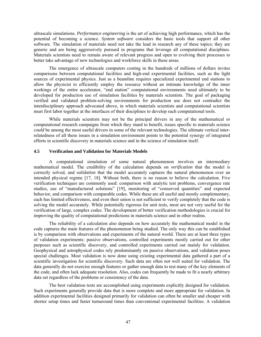ultrascale simulations. *Performance engineering* is the art of achieving high performance, which has the potential of becoming a science. *System software* considers the basic tools that support all other software. The simulation of materials need not take the lead in research any of these topics; they are generic and are being aggressively pursued in programs that leverage all computational disciplines. Materials scientists need to remain aware of relevant progress and open to evolving their processes to better take advantage of new technologies and workforce skills in these areas.

The emergence of ultrascale computers costing in the hundreds of millions of dollars invites comparisons between computational facilities and high-end experimental facilities, such as the light sources of experimental physics. Just as a beamline requires specialized experimental end stations to allow the physicist to efficiently employ the resource without an intimate knowledge of the inner workings of the entire accelerator, "end station" computational environments need ultimately to be developed for production use of simulation facilities by materials scientists. The goal of packaging verified and validated problem-solving environments for production use does not contradict the interdisciplinary approach advocated above, in which materials scientists and computational scientists must first labor together at the interfaces of their disciplines to develop such computational tools.

While materials scientists may not be the principal drivers in any of the mathematical or computational research campaigns from which they stand to benefit, issues specific to materials science *could* be among the most useful drivers in some of the relevant technologies. The ultimate vertical interrelatedness of all these issues in a simulation environment points to the potential synergy of integrated efforts in scientific discovery in materials science and in the science of simulation itself.

# **4.5 Verification and Validation for Materials Models**

A computational simulation of some natural phenomenon involves an intermediary mathematical model. The credibility of the calculation depends on *verification* that the model is correctly solved, and *validation* that the model accurately captures the natural phenomenon over an intended physical regime [17, 18]. Without both, there is no reason to believe the calculation. Five verification techniques are commonly used: comparison with analytic test problems, convergence rate studies, use of "manufactured solutions" [19], monitoring of "conserved quantities" and expected behavior, and comparison with comparable codes. While these are all useful and mostly complementary, each has limited effectiveness, and even their union is not sufficient to verify completely that the code is solving the model accurately. While potentially rigorous for unit tests, most are not very useful for the verification of large, complex codes. The development of better verification methodologies is crucial for improving the quality of computational predictions in materials science and in other realms.

The reliability of a calculation also depends on how accurately the mathematical model in the code captures the main features of the phenomenon being studied. The only way this can be established is by comparison with observations and experiments of the natural world. There are at least three types of validation experiments: passive observations, controlled experiments mostly carried out for other purposes such as scientific discovery, and controlled experiments carried out mainly for validation. Geophysical and astrophysical codes rely predominantly on passive observations, and validation poses special challenges. Most validation is now done using existing experimental data gathered a part of a scientific investigation for scientific discovery. Such data are often not well suited for validation. The data generally do not exercise enough features or gather enough data to test many of the key elements of the code, and often lack adequate resolution. Also, codes can frequently be made to fit a nearly arbitrary data set regardless of the problems or consistency of the data.

The best validation tests are accomplished using experiments explicitly designed for validation. Such experiments generally provide data that is more complete and more appropriate for validation. In addition experimental facilities designed primarily for validation can often be smaller and cheaper with shorter setup times and faster turnaround times than conventional experimental facilities. A validation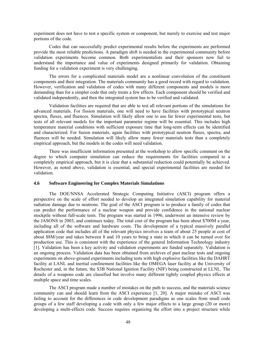experiment does not have to test a specific system or component, but merely to exercise and test major portions of the code.

Codes that can successfully predict experimental results before the experiments are performed provide the most reliable predictions. A paradigm shift is needed in the experimental community before validation experiments become common. Both experimentalists and their sponsors now fail to understand the importance and value of experiments designed primarily for validation. Obtaining funding for a validation experiment is very challenging.

The errors for a complicated materials model are a nonlinear convolution of the constituent components and their integration. The materials community has a good record with regard to validation. However, verification and validation of codes with many different components and models is more demanding than for a simpler code that only treats a few effects. Each component should be verified and validated independently, and then the integrated system has to be verified and validated.

Validation facilities are required that are able to test all relevant portions of the simulations for advanced materials. For fission materials, one will need to have facilities with prototypical neutron spectra, fluxes, and fluences. Simulation will likely allow one to use far fewer experimental tests, but tests of all relevant models for the important parameter regime will be essential. This includes high temperature material conditions with sufficient exposure time that long-term effects can be identified and characterized. For fusion materials, again facilities with prototypical neutron fluxes, spectra, and fluences will be needed. Simulation will likely allow many fewer materials tests than a completely empirical approach, but the models in the codes will need validation.

There was insufficient information presented at the workshop to allow specific comment on the degree to which computer simulation can reduce the requirements for facilities compared to a completely empirical approach, but it is clear that a substantial reduction could potentially be achieved. However, as noted above, validation is essential, and special experimental facilities are needed for validation.

#### **4.6 Software Engineering for Complex Materials Simulations**

The DOE/NNSA Accelerated Strategic Computing Initiative (ASCI) program offers a perspective on the scale of effort needed to develop an integrated simulation capability for material radiation damage due to neutrons. The goal of the ASCI program is to produce a family of codes that can predict the performance of a nuclear weapon and provide confidence in the national nuclear stockpile without full-scale tests. The program was started in 1996, underwent an intensive review by the JASONS in 2003, and continues today. The total cost of the program has been about \$700M a year, including all of the software and hardware costs. The development of a typical massively parallel application code that includes all of the relevant physics involves a team of about 25 people at cost of about \$8M/year and takes between 8 and 10 years to bring a state in which it can be turned over for production use. This is consistent with the experience of the general Information Technology industry [1]. Validation has been a key activity and validation experiments are funded separately. Validation is an ongoing process. Validation data has been obtained from archives of past nuclear tests and ongoing experiments on above-ground experiments including tests with high explosive facilities like the DAHRT facility at LANL and inertial confinement facilities like the OMEGA laser facility at the University of Rochester and, in the future, the \$3B National Ignition Facility (NIF) being constructed at LLNL. The details of a weapons code are classified but involve many different tightly coupled physics effects at multiple space and time scales.

The ASCI program made a number of mistakes on the path to success, and the materials science community can and should learn from the ASCI experience [1, 20]. A major mistake of ASCI was failing to account for the differences in code development paradigms as one scales from small code groups of a few staff developing a code with only a few major effects to a large group (20 or more) developing a multi-effects code. Success requires organizing the effort into a project structure while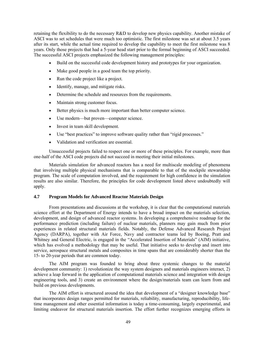retaining the flexibility to do the necessary R&D to develop new physics capability. Another mistake of ASCI was to set schedules that were much too optimistic. The first milestone was set at about 3.5 years after its start, while the actual time required to develop the capability to meet the first milestone was 8 years. Only those projects that had a 5-year head start prior to the formal beginning of ASCI succeeded. The successful ASCI projects emphasized the following management principles:

- Build on the successful code development history and prototypes for your organization.
- Make good people in a good team the top priority.
- Run the code project like a project.
- Identify, manage, and mitigate risks.
- Determine the schedule and resources from the requirements.
- Maintain strong customer focus.
- Better physics is much more important than better computer science.
- Use modern—but proven—computer science.
- Invest in team skill development.
- Use "best practices" to improve software quality rather than "rigid processes."
- Validation and verification are essential.

Unsuccessful projects failed to respect one or more of these principles. For example, more than one-half of the ASCI code projects did not succeed in meeting their initial milestones.

Materials simulation for advanced reactors has a need for multiscale modeling of phenomena that involving multiple physical mechanisms that is comparable to that of the stockpile stewardship program. The scale of computation involved, and the requirement for high confidence in the simulation results are also similar. Therefore, the principles for code development listed above undoubtedly will apply.

# **4.7 Program Models for Advanced Reactor Materials Design**

From presentations and discussions at the workshop, it is clear that the computational materials science effort at the Department of Energy intends to have a broad impact on the materials selection, development, and design of advanced reactor systems. In developing a comprehensive roadmap for the performance prediction (including failure) of nuclear materials, planners may gain much from prior experiences in related structural materials fields. Notably, the Defense Advanced Research Project Agency (DARPA), together with Air Force, Navy and contractor teams led by Boeing, Pratt and Whitney and General Electric, is engaged in the "Accelerated Insertion of Materials" (AIM) initiative, which has evolved a methodology that may be useful. That initiative seeks to develop and insert into service, aerospace structural metals and composites in time spans that are considerably shorter than the 15- to 20-year periods that are common today.

The AIM program was founded to bring about three systemic changes to the material development community: 1) revolutionize the way system designers and materials engineers interact, 2) achieve a leap forward in the application of computational materials science and integration with design engineering tools, and 3) create an environment where the design/materials team can learn from and build on previous developments.

The AIM effort is structured around the idea that development of a "designer knowledge base" that incorporates design ranges permitted for materials, reliability, manufacturing, reproducibility, lifetime management and other essential information is today a time-consuming, largely experimental, and limiting endeavor for structural materials insertion. The effort further recognizes emerging efforts in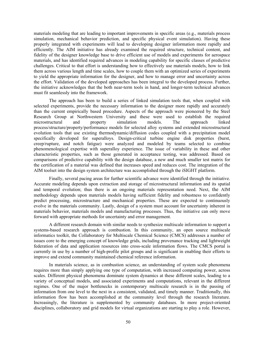materials modeling that are leading to important improvements in specific areas (e.g., materials process simulation, mechanical behavior prediction, and specific physical event simulation). Having these properly integrated with experiments will lead to developing designer information more rapidly and efficiently. The AIM initiative has already examined the required structure, technical content, and fidelity of the designer knowledge base to drive efficient use of models and experiments for aerospace materials, and has identified required advances in modeling capability for specific classes of predictive challenges. Critical to that effort is understanding how to effectively use materials models, how to link them across various length and time scales, how to couple them with an optimized series of experiments to yield the appropriate information for the designer, and how to manage error and uncertainty across the effort. Validation of the developed approaches has been integral to the developed process. Further, the initiative acknowledges that the both near-term tools in hand, and longer-term technical advances must fit seamlessly into the framework.

The approach has been to build a series of linked simulation tools that, when coupled with selected experiments, provide the necessary information to the designer more rapidly and accurately than the current empirically based procedure. Aspects of the approach were pioneered by the Steel Research Group at Northwestern University and these were used to establish the required microstructural and property simulation models. The approach linked process/structure/property/performance models for selected alloy systems and extended microstructural evolution tools that use existing thermodynamic/diffusion codes coupled with a precipitation model specifically developed for superalloys. Design-critical turbine engine disk properties (burst, creep/rupture, and notch fatigue) were analyzed and modeled by teams selected to combine phenomenological expertise with superalloy experience. The issue of variability in these and other characteristic properties, such as those generated in acceptance testing, was addressed. Based on comparisons of predictive capability with the design database, a new and much smaller test matrix for the certification of a material was defined that increases speed and reduces cost. The integration of the AIM toolset into the design system architecture was accomplished through the iSIGHT platform.

Finally, several pacing areas for further scientific advance were identified through the initiative. Accurate modeling depends upon extraction and storage of microstructural information and its spatial and temporal evolution; thus there is an ongoing materials representation need. Next, the AIM methodology depends upon materials models having sufficient fidelity and robustness to confidently predict processing, microstructure and mechanical properties. These are expected to continuously evolve in the materials community. Lastly, design of a system must account for uncertainty inherent in materials behavior, materials models and manufacturing processes. Thus, the initiative can only move forward with appropriate methods for uncertainty and error management.

A different research domain with similar needs to synthesize multiscale information to support a systems-based research approach is combustion. In this community, an open source multiscale informatics toolkit, the Collaboratory for Multiscale Chemical Science (CMCS) addresses a number of issues core to the emerging concept of knowledge grids, including provenance tracking and lightweight federation of data and application resources into cross-scale information flows. The CMCS portal is currently in use by a number of high-profile pilot groups and is significant in enabling their efforts to improve and extend community maintained chemical reference information.

In materials science, as in combustion science, an understanding of system scale phenomena requires more than simply applying one type of computation, with increased computing power, across scales. Different physical phenomena dominate system dynamics at these different scales, leading to a variety of conceptual models, and associated experiments and computations, relevant in the different regimes. One of the major bottlenecks in contemporary multiscale research is in the passing of information from one level to the next in a consistent, validated, and timely manner. Traditionally, this information flow has been accomplished at the community level through the research literature. Increasingly, the literature is supplemented by community databases. In more project-oriented disciplines, collaboratory and grid models for virtual organizations are starting to play a role. However,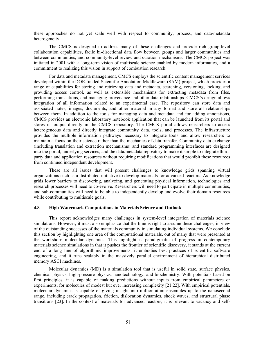these approaches do not yet scale well with respect to community, process, and data/metadata heterogeneity.

The CMCS is designed to address many of these challenges and provide rich group-level collaboration capabilities, facile bi-directional data flow between groups and larger communities and between communities, and community-level review and curation mechanisms. The CMCS project was initiated in 2001 with a long-term vision of multiscale science enabled by modern informatics, and a commitment to realizing this vision in support of combustion research.

For data and metadata management, CMCS employs the scientific content management services developed within the DOE-funded Scientific Annotation Middleware (SAM) project, which provides a range of capabilities for storing and retrieving data and metadata, searching, versioning, locking, and providing access control, as well as extensible mechanisms for extracting metadata from files, performing translations, and managing provenance and other data relationships. CMCS's design allows integration of all information related to an experimental case. The repository can store data and associated notes, images, documents, and other material in any format and store all relationships between them. In addition to the tools for managing data and metadata and for adding annotations, CMCS provides an electronic laboratory notebook application that can be launched from its portal and stores its output directly in the CMCS repository. The CMCS portal allows researchers to access heterogeneous data and directly integrate community data, tools, and processes. The infrastructure provides the multiple information pathways necessary to integrate tools and allow researchers to maintain a focus on their science rather than the mechanics of data transfer. Community data exchange (including translation and extraction mechanisms) and standard programming interfaces are designed into the portal, underlying services, and the data/metadata repository to make it simple to integrate thirdparty data and application resources without requiring modifications that would prohibit these resources from continued independent development.

These are all issues that will present challenges to knowledge grids spanning virtual organizations such as a distributed initiative to develop materials for advanced reactors. As knowledge grids lower barriers to discovering, analyzing, and generating physical information, technologies and research processes will need to co-evolve. Researchers will need to participate in multiple communities, and sub-communities will need to be able to independently develop and evolve their domain resources while contributing to multiscale goals.

#### **4.8 High Watermark Computations in Materials Science and Outlook**

This report acknowledges many challenges in system-level integration of materials science simulations. However, it must also emphasize that the time is right to assume these challenges, in view of the outstanding successes of the materials community in simulating individual systems. We conclude this section by highlighting one area of the computational materials, out of many that were presented at the workshop: molecular dynamics. This highlight is paradigmatic of progress in contemporary materials science simulations in that it pushes the frontier of scientific discovery, it stands at the current end of a long line of algorithmic improvements, it embodies best practices of scientific software engineering, and it runs scalably in the massively parallel environment of hierarchical distributed memory ASCI machines.

Molecular dynamics (MD) is a simulation tool that is useful in solid state, surface physics, chemical physics, high-pressure physics, nanotechnology, and biochemistry. With potentials based on first principles, it is capable of making predictions without inputs from empirical parameters or experiments, for molecules of modest but ever increasing complexity [21,22]. With empirical potentials, molecular dynamics is capable of giving insight into million-atom ensembles up to the nanosecond range, including crack propagation, friction, dislocation dynamics, shock waves, and structural phase transitions [23]. In the context of materials for advanced reactors, it is relevant to vacancy and self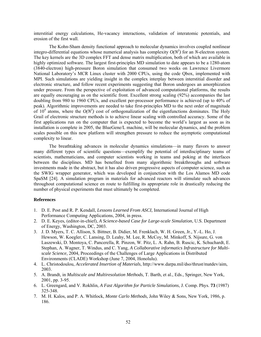interstitial energy calculations, He-vacancy interactions, validation of interatomic potentials, and erosion of the first wall.

The Kohn-Sham density functional approach to molecular dynamics involves coupled nonlinear integro-differential equations whose numerical analysis has complexity  $O(N^3)$  for an *N*-electron system. The key kernels are the 3D complex FFT and dense matrix multiplication, both of which are available in highly optimized software. The largest first-principles MD simulation to date appears to be a 1280-atom (3840-electron) high-pressure Boron simulation that consumed two weeks on Lawrence Livermore National Laboratory's MCR Linux cluster with 2000 CPUs, using the code Qbox, implemented with MPI. Such simulations are yielding insight in the complex interplay between interstitial disorder and electronic structure, and follow recent experiments suggesting that Boron undergoes an amorphization under pressure. From the perspective of exploitation of advanced computational platforms, the results are equally encouraging as on the scientific front. Excellent strong scaling (92%) accompanies the last doubling from 980 to 1960 CPUs, and excellent per-processor performance is achieved (up to 40% of peak). Algorithmic improvements are needed to take first-principles MD to the next order of magnitude of  $10^4$  atoms, where the  $O(N^3)$  cost of orthogonalization of the eigenfunctions dominates. The Holy Grail of electronic structure methods is to achieve linear scaling with controlled accuracy. Some of the first applications run on the computer that is expected to become the world's largest as soon as its installation is complete in 2005, the BlueGene/L machine, will be molecular dynamics, and the problem scales possible on this new platform will strengthen pressure to reduce the asymptotic computational complexity to linear.

The breathtaking advances in molecular dynamics simulations—in many flavors to answer many different types of scientific questions—exemplify the potential of interdisciplinary teams of scientists, mathematicians, and computer scientists working in teams and poking at the interfaces between the disciplines. MD has benefited from many algorithmic breakthroughs and software investments made in the abstract, but it has also driven progressive aspects of computer science, such as the SWIG wrapper generator, which was developed in conjunction with the Los Alamos MD code SpaSM [24]. A simulation program in materials for advanced reactors will stimulate such advances throughout computational science en route to fulfilling its appropriate role in drastically reducing the number of physical experiments that must ultimately be completed.

## **References**

- 1. D. E. Post and R. P. Kendall, *Lessons Learned From ASCI,* International Journal of High Performance Computing Applications, 2004, in press.
- 2. D. E. Keyes, (editor-in-chief), *A Science-based Case for Large-scale Simulation*, U.S. Department of Energy, Washington, DC, 2003.
- 3. J. D. Myers, T. C. Allison, S. Bittner, B. Didier, M. Frenklach, W. H. Green, Jr., Y.-L. Ho, J. Hewson, W. Koegler, C. Lansing, D. Leahy, M. Lee, R. McCoy, M. Minkoff, S. Nijsure, G. von Laszewski, D. Montoya, C. Pancerella, R. Pinzon, W. Pitz, L. A. Rahn, B. Ruscic, K. Schuchardt, E. Stephan, A. Wagner, T. Windus, and C. Yang, *A Collaborative informatics Infrastructure for Multiscale Science*, 2004, Proceedings of the Challenges of Large Applications in Distributed Environments (CLADE) Workshop (June 7, 2004, Honolulu).
- 4. L. Christodoulou, *Accelerated Insertion of Materials*, http://www.darpa.mil/dso/thrust/matdev/aim, 2003.
- 5. A. Brandt, in *Multiscale and Multiresolution Methods*, T. Barth, et al., Eds., Springer, New York, 2001, pp. 3-95.
- 6. L. Greengard, and V. Rokhlin, *A Fast Algorithm for Particle Simulations*, J. Comp. Phys. **73** (1987) 325-348.
- 7. M. H. Kalos, and P. A. Whitlock, *Monte Carlo Methods,* John Wiley & Sons, New York, 1986, p. 186.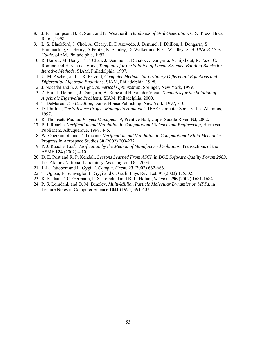- 8. J. F. Thompson, B. K. Soni, and N. Weatherill, *Handbook of Grid Generation*, CRC Press, Boca Raton, 1998.
- 9. L. S. Blackford, J. Choi, A. Cleary, E. D'Azevedo, J. Demmel, I. Dhillon, J. Dongarra, S. Hammarling, G. Henry, A Petitet, K. Stanley, D. Walker and R. C. Whalley, *ScaLAPACK Users' Guide*, SIAM, Philadelphia, 1997.
- 10. R. Barrett, M. Berry, T. F. Chan, J. Demmel, J. Dunato, J. Dongarra, V. Eijkhout, R. Pozo, C. Romine and H. van der Vorst, *Templates for the Solution of Linear Systems: Building Blocks for Iterative Methods*, SIAM, Philadelphia, 1997.
- 11. U. M. Ascher, and L. R. Petzold, *Computer Methods for Ordinary Differential Equations and Differential-Algebraic Equations*, SIAM, Philadelphia, 1998.
- 12. J. Nocedal and S. J. Wright, *Numerical Optimization*, Springer, New York, 1999.
- 13. Z. Bai,, J. Demmel, J. Dongarra, A. Ruhe and H. van der Vorst, *Templates for the Solution of Algebraic Eigenvalue Problems*, SIAM, Philadelphia, 2000.
- 14. T. DeMarco, *The Deadline*, Dorset House Publishing, New York, 1997, 310.
- 15. D. Phillips, *The Software Project Manager's Handbook*, IEEE Computer Society, Los Alamitos, 1997.
- 16. R. Thomsett, *Radical Project Management*, Prentice Hall, Upper Saddle River, NJ, 2002.
- 17. P. J. Roache, *Verification and Validation in Computational Science and Engineering*, Hermosa Publishers, Albuquerque, 1998, 446.
- 18. W. Oberkampf, and T. Trucano, *Verification and Validation in Computational Fluid Mechanics,*  Progress in Aerospace Studies **38** (2002) 209-272.
- 19. P. J. Roache, *Code Verification by the Method of Manufactured Solutions*, Transactions of the ASME **124** (2002) 4-10.
- 20. D. E. Post and R. P. Kendall, *Lessons Learned From ASCI*, in *DOE Software Quality Forum 2003*, Los Alamos National Laboratory, Washington, DC, 2003.
- 21. J.-L. Fattebert and F. Gygi, *J. Comput. Chem.* **23** (2002) 662-666.
- 22. T. Ogitsu, E. Schwegler, F. Gygi and G. Galli, Phys Rev. Let. **91** (2003) 175502.
- 23. K. Kadau, T. C. Germann, P. S. Lomdahl and B. L. Holian, *Science*, **296** (2002) 1681-1684.
- 24. P. S. Lomdahl, and D. M. Beazley. *Multi-Million Particle Molecular Dynamics on MPPs*, in Lecture Notes in Computer Science **1041** (1995) 391-407.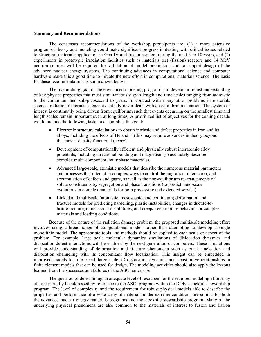#### **Summary and Recommendations**

The consensus recommendations of the workshop participants are: (1) a more extensive program of theory and modeling could make significant progress in dealing with critical issues related to structural materials application in Gen-IV and fusion reactors during the next 5 to 10 years, and (2) experiments in prototypic irradiation facilities such as materials test (fission) reactors and 14 MeV neutron sources will be required for validation of model predictions and to support design of the advanced nuclear energy systems. The continuing advances in computational science and computer hardware make this a good time to initiate the new effort in computational materials science. The basis for these recommendations is summarized below.

The overarching goal of the envisioned modeling program is to develop a robust understanding of key physics properties that must simultaneously span length and time scales ranging from atomistic to the continuum and sub-picosecond to years. In contrast with many other problems in materials science, radiation materials science essentially never deals with an equilibrium situation. The system of interest is continually being driven from equilibrium such that events occurring on the smallest time and length scales remain important even at long times. A prioritized list of objectives for the coming decade would include the following tasks to accomplish this goal:

- Electronic structure calculations to obtain intrinsic and defect properties in iron and its alloys, including the effects of He and H (this may require advances in theory beyond the current density functional theory).
- Development of computationally efficient and physically robust interatomic alloy potentials, including directional bonding and magnetism (to accurately describe complex multi-component, multiphase materials).
- Advanced large-scale, atomistic models that describe the numerous material parameters and processes that interact in complex ways to control the migration, interaction, and accumulation of defects and gases, as well as the non-equilibrium rearrangements of solute constituents by segregation and phase transitions (to predict nano-scale evolutions in complex materials for both processing and extended service).
- Linked and multiscale (atomistic, mesoscopic, and continuum) deformation and fracture models for predicting hardening, plastic instabilities, changes in ductile-tobrittle fracture, dimensional instabilities, and creep/creep rupture behavior for complex materials and loading conditions.

Because of the nature of the radiation damage problem, the proposed multiscale modeling effort involves using a broad range of computational models rather than attempting to develop a single monolithic model. The appropriate tools and methods should be applied to each scale or aspect of the problem. For example, large scale molecular dynamics simulations of dislocation dynamics and dislocation-defect interactions will be enabled by the next generation of computers. These simulations will provide understanding of deformation and fracture phenomena such as crack nucleation and dislocation channeling with its concomitant flow localization. This insight can be embedded in improved models for rule-based, large-scale 3D dislocation dynamics and constitutive relationships in finite element models that can be used for design. The modeling activities should also apply the lessons learned from the successes and failures of the ASCI enterprise.

The question of determining an adequate level of resources for the required modeling effort may at least partially be addressed by reference to the ASCI program within the DOE's stockpile stewardship program. The level of complexity and the requirement for robust physical models able to describe the properties and performance of a wide array of materials under extreme conditions are similar for both the advanced nuclear energy materials programs and the stockpile stewardship program. Many of the underlying physical phenomena are also common to the materials of interest to fusion and fission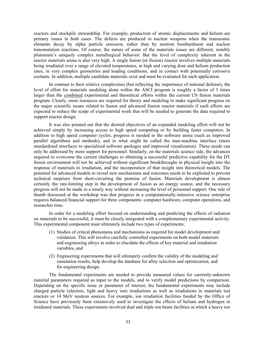reactors and stockpile stewardship. For example, production of atomic displacements and helium are primary issues in both cases. The defects are produced in nuclear weapons when the transuranic elements decay by alpha particle emission, rather than by neutron bombardment and nuclear transmutation reactions. Of course, the nature of some of the materials issues are different, notably plutonium's uniquely complex metallurgical behavior. But the level of complexity inherent in the reactor materials arena is also very high. A single fusion (or fission) reactor involves multiple materials being irradiated over a range of elevated temperatures, at high and varying dose and helium production rates, in very complex geometries and loading conditions, and in contact with potentially corrosive coolants. In addition, multiple candidate materials exist and must be evaluated for each application.

In contrast to their relative complexities (but reflecting the importance of national defense), the level of effort for materials modeling alone within the ASCI program is roughly a factor of 3 times larger than the combined experimental and theoretical efforts within the current US fusion materials program. Clearly, more resources are required for theory and modeling to make significant progress on the major scientific issues related to fusion and advanced fission reactor materials if such efforts are expected to reduce the scope of experimental work that will be needed to generate the data required to support reactor design.

It was also pointed out that the desired objectives of an expanded modeling effort will not be achieved simply by increasing access to high speed computing or by building faster computers. In addition to high speed computer cycles, progress is needed in the software arena (such as improved parallel algorithms and methods), and in what might be called the man-machine interface (more standardized interfaces to specialized software packages and improved visualization). These needs can only be addressed by more support for personnel. Similarly, on the materials science side, the advances required to overcome the current challenges to obtaining a successful predictive capability for the DT fusion environment will not be achieved without significant breakthroughs in physical insight into the response of materials to irradiation, and the incorporation of that insight into theoretical models. The potential for advanced models to reveal new mechanisms and outcomes needs to be exploited to prevent technical surprises from short-circuiting the promise of fusion. Materials development is almost certainly the rate-limiting step in the development of fusion as an energy source, and the necessary progress will not be made in a timely way without increasing the level of personnel support. One rule of thumb discussed at the workshop was that progress in a computationally-intensive science enterprise requires balanced financial support for three components: computer hardware, computer operations, and researcher time.

In order for a modeling effort focused on understanding and predicting the effects of radiation on materials to be successful, it must be closely integrated with a complementary experimental activity. This experimental component must ultimately include two types of experiments:

- (1) Studies of critical phenomena and mechanisms as required for model development and validation. This will involve carefully controlled experiments on both model materials and engineering alloys in order to elucidate the effects of key material and irradiation variables, and
- (2) Engineering experiments that will ultimately confirm the validity of the modeling and simulation results, help develop the database for alloy selection and optimization, and for engineering design.

The fundamental experiments are needed to provide measured values for currently-unknown material parameters required as input to the models, and to verify model predictions by comparison. Depending on the specific issue or parameter of interest, the fundamental experiments may include charged particle (electron, light and heavy ion) irradiations as well as irradiations in materials test reactors or 14 MeV neutron sources. For example, ion irradiation facilities funded by the Office of Science have previously been extensively used to investigate the effects of helium and hydrogen in irradiated materials. These experiments involved dual and triple ion beam facilities in which a heavy ion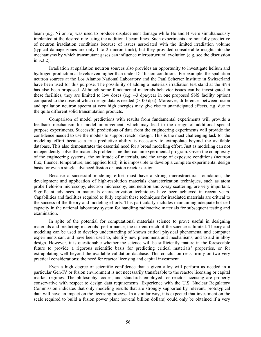beam (e.g. Ni or Fe) was used to produce displacement damage while He and H were simultaneously implanted at the desired rate using the additional beam lines. Such experiments are not fully predictive of neutron irradiation conditions because of issues associated with the limited irradiation volume (typical damage zones are only 1 to 2 micron thick), but they provided considerable insight into the mechanisms by which transmutant gases can influence microstructural evolution (e.g. see the discussion in 3.3.2).

Irradiation at spallation neutron sources also provides an opportunity to investigate helium and hydrogen production at levels even higher than under DT fusion conditions. For example, the spallation neutron sources at the Los Alamos National Laboratory and the Paul Scherrer Institute in Switzerland have been used for this purpose. The possibility of adding a materials irradiation test stand at the SNS has also been proposed. Although some fundamental materials behavior issues can be investigated in these facilities, they are limited to low doses (e.g.  $\sim$ 3 dpa/year in one proposed SNS facility option) compared to the doses at which design data is needed (>100 dpa). Moreover, differences between fusion and spallation neutron spectra at very high energies may give rise to unanticipated effects, e.g. due to the quite different solid transmutation products.

Comparison of model predictions with results from fundamental experiments will provide a feedback mechanism for model improvement, which may lead to the design of additional special purpose experiments. Successful predictions of data from the engineering experiments will provide the confidence needed to use the models to support reactor design. This is the most challenging task for the modeling effort because a true predictive ability is necessary to extrapolate beyond the available database. This also demonstrates the essential need for a broad modeling effort. Just as modeling can not independently solve the materials problems, neither can an experimental program. Given the complexity of the engineering systems, the multitude of materials, and the range of exposure conditions (neutron flux, fluence, temperature, and applied load), it is impossible to develop a complete experimental design basis for even a single advanced fission or fusion reactor design.

Because a successful modeling effort must have a strong microstructural foundation, the development and application of high-resolution materials characterization techniques, such as atom probe field-ion microscopy, electron microscopy, and neutron and X-ray scattering, are very important. Significant advances in materials characterization techniques have been achieved in recent years. Capabilities and facilities required to fully exploit these techniques for irradiated materials are critical to the success of the theory and modeling efforts. This particularly includes maintaining adequate hot cell capacity in the national laboratory system for handling radioactive materials for subsequent testing and examination.

In spite of the potential for computational materials science to prove useful in designing materials and predicting materials' performance, the current reach of the science is limited. Theory and modeling can be used to develop understanding of known critical physical phenomena, and computer experiments can, and have been used to, identify new phenomena and mechanisms, and to aid in alloy design. However, it is questionable whether the science will be sufficiently mature in the foreseeable future to provide a rigorous scientific basis for predicting critical materials' properties, or for extrapolating well beyond the available validation database. This conclusion rests firmly on two very practical considerations: the need for reactor licensing and capital investment.

Even a high degree of scientific confidence that a given alloy will perform as needed in a particular Gen-IV or fusion environment is not necessarily transferable to the reactor licensing or capital market regimes. The philosophy, codes, and standards employed for reactor licensing are properly conservative with respect to design data requirements. Experience with the U.S. Nuclear Regulatory Commission indicates that only modeling results that are strongly supported by relevant, prototypical data will have an impact on the licensing process. In a similar way, it is expected that investment on the scale required to build a fusion power plant (several billion dollars) could only be obtained if a very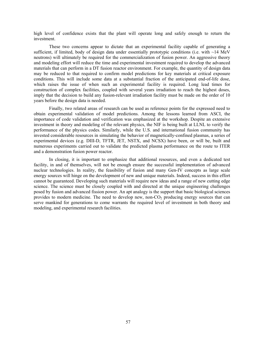high level of confidence exists that the plant will operate long and safely enough to return the investment.

These two concerns appear to dictate that an experimental facility capable of generating a sufficient, if limited, body of design data under essentially prototypic conditions (i.e. with  $\sim$ 14 MeV neutrons) will ultimately be required for the commercialization of fusion power. An aggressive theory and modeling effort will reduce the time and experimental investment required to develop the advanced materials that can perform in a DT fusion reactor environment. For example, the quantity of design data may be reduced to that required to confirm model predictions for key materials at critical exposure conditions. This will include some data at a substantial fraction of the anticipated end-of-life dose, which raises the issue of when such an experimental facility is required. Long lead times for construction of complex facilities, coupled with several years irradiation to reach the highest doses, imply that the decision to build any fusion-relevant irradiation facility must be made on the order of 10 years before the design data is needed.

Finally, two related areas of research can be used as reference points for the expressed need to obtain experimental validation of model predictions. Among the lessons learned from ASCI, the importance of code validation and verification was emphasized at the workshop. Despite an extensive investment in theory and modeling of the relevant physics, the NIF is being built at LLNL to verify the performance of the physics codes. Similarly, while the U.S. and international fusion community has invested considerable resources in simulating the behavior of magnetically-confined plasmas, a series of experimental devices (e.g. DIII-D, TFTR, JET, NSTX, and NCSX) have been, or will be, built and numerous experiments carried out to validate the predicted plasma performance on the route to ITER and a demonstration fusion power reactor.

In closing, it is important to emphasize that additional resources, and even a dedicated test facility, in and of themselves, will not be enough ensure the successful implementation of advanced nuclear technologies. In reality, the feasibility of fusion and many Gen-IV concepts as large scale energy sources will hinge on the development of new and unique materials. Indeed, success in this effort cannot be guaranteed. Developing such materials will require new ideas and a range of new cutting edge science. The science must be closely coupled with and directed at the unique engineering challenges posed by fusion and advanced fission power. An apt analogy is the support that basic biological sciences provides to modern medicine. The need to develop new, non-CO<sub>2</sub> producing energy sources that can serve mankind for generations to come warrants the required level of investment in both theory and modeling, and experimental research facilities.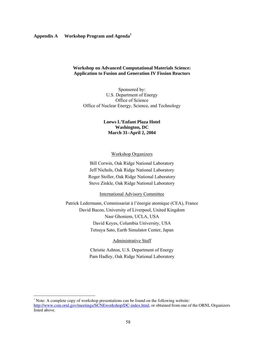#### **Appendix A Workshop Program and Agenda<sup>1</sup>**

# **Workshop on Advanced Computational Materials Science: Application to Fusion and Generation IV Fission Reactors**

Sponsored by: U.S. Department of Energy Office of Science Office of Nuclear Energy, Science, and Technology

# **Loews L'Enfant Plaza Hotel Washington, DC March 31–April 2, 2004**

# Workshop Organizers

Bill Corwin, Oak Ridge National Laboratory Jeff Nichols, Oak Ridge National Laboratory Roger Stoller, Oak Ridge National Laboratory Steve Zinkle, Oak Ridge National Laboratory

International Advisory Committee

Patrick Ledermann, Commissariat à l'énergie atomique (CEA), France David Bacon, University of Liverpool, United Kingdom Nasr Ghoniem, UCLA, USA David Keyes, Columbia University, USA Tetsuya Sato, Earth Simulator Center, Japan

#### Administrative Staff

Christie Ashton, U.S. Department of Energy Pam Hadley, Oak Ridge National Laboratory

 $\overline{a}$ 

<sup>&</sup>lt;sup>1</sup> Note: A complete copy of workshop presentations can be found on the following website: http://www.csm.ornl.gov/meetings/SCNEworkshop/DC-index.html, or obtained from one of the ORNL Organizers listed above.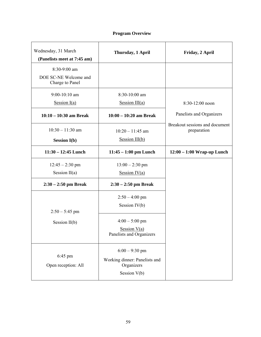# **Program Overview**

| Wednesday, 31 March<br>(Panelists meet at 7:45 am)       | Thursday, 1 April                                                               | Friday, 2 April                               |  |
|----------------------------------------------------------|---------------------------------------------------------------------------------|-----------------------------------------------|--|
| 8:30-9:00 am<br>DOE SC-NE Welcome and<br>Charge to Panel |                                                                                 |                                               |  |
| $9:00-10:10$ am<br>Session $I(a)$                        | 8:30-10:00 am<br>Session $III(a)$                                               | 8:30-12:00 noon                               |  |
| $10:10 - 10:30$ am Break                                 | $10:00 - 10:20$ am Break                                                        | Panelists and Organizers                      |  |
| $10:30 - 11:30$ am<br><b>Session I(b)</b>                | $10:20 - 11:45$ am<br>Session III(b)                                            | Breakout sessions and document<br>preparation |  |
| $11:30 - 12:45$ Lunch                                    | $11:45 - 1:00$ pm Lunch                                                         | $12:00 - 1:00$ Wrap-up Lunch                  |  |
| $12:45 - 2:30$ pm<br>Session $II(a)$                     | $13:00 - 2:30$ pm<br>Session $IV(a)$                                            |                                               |  |
| $2:30 - 2:50$ pm Break                                   | $2:30 - 2:50$ pm Break                                                          |                                               |  |
| $2:50 - 5:45$ pm                                         | $2:50 - 4:00$ pm<br>Session $IV(b)$                                             |                                               |  |
| Session $II(b)$                                          | $4:00 - 5:00$ pm<br>Session $V(a)$<br>Panelists and Organizers                  |                                               |  |
| 6:45 pm<br>Open reception: All                           | $6:00 - 9:30$ pm<br>Working dinner: Panelists and<br>Organizers<br>Session V(b) |                                               |  |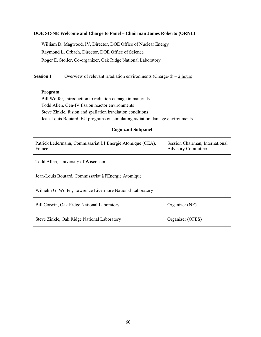# **DOE SC-NE Welcome and Charge to Panel – Chairman James Roberto (ORNL)**

William D. Magwood, IV, Director, DOE Office of Nuclear Energy Raymond L. Orbach, Director, DOE Office of Science Roger E. Stoller, Co-organizer, Oak Ridge National Laboratory

**Session I**: Overview of relevant irradiation environments (Charge-d) – 2 hours

# **Program**

Bill Wolfer, introduction to radiation damage in materials Todd Allen, Gen-IV fission reactor environments Steve Zinkle, fusion and spallation irradiation conditions Jean-Louis Boutard, EU programs on simulating radiation damage environments

| Patrick Ledermann, Commissariat à l'Energie Atomique (CEA),<br>France | Session Chairman, International<br><b>Advisory Committee</b> |
|-----------------------------------------------------------------------|--------------------------------------------------------------|
| Todd Allen, University of Wisconsin                                   |                                                              |
| Jean-Louis Boutard, Commissariat à l'Energie Atomique                 |                                                              |
| Wilhelm G. Wolfer, Lawrence Livermore National Laboratory             |                                                              |
| Bill Corwin, Oak Ridge National Laboratory                            | Organizer (NE)                                               |
| Steve Zinkle, Oak Ridge National Laboratory                           | Organizer (OFES)                                             |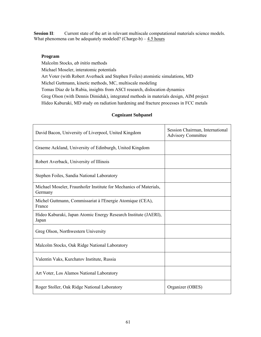**Session II:** Current state of the art in relevant multiscale computational materials science models. What phenomena can be adequately modeled? (Charge-b)  $-4.5$  hours

# **Program**

Malcolm Stocks, *ab initio* methods Michael Moseler, interatomic potentials Art Voter (with Robert Averback and Stephen Foiles) atomistic simulations, MD Michel Guttmann, kinetic methods, MC, multiscale modeling Tomas Diaz de la Rubia, insights from ASCI research, dislocation dynamics Greg Olson (with Dennis Dimiduk), integrated methods in materials design, AIM project Hideo Kaburaki, MD study on radiation hardening and fracture processes in FCC metals

| David Bacon, University of Liverpool, United Kingdom                         | Session Chairman, International<br><b>Advisory Committee</b> |
|------------------------------------------------------------------------------|--------------------------------------------------------------|
| Graeme Ackland, University of Edinburgh, United Kingdom                      |                                                              |
| Robert Averback, University of Illinois                                      |                                                              |
| Stephen Foiles, Sandia National Laboratory                                   |                                                              |
| Michael Moseler, Fraunhofer Institute for Mechanics of Materials,<br>Germany |                                                              |
| Michel Guttmann, Commissariat à l'Energie Atomique (CEA),<br>France          |                                                              |
| Hideo Kaburaki, Japan Atomic Energy Research Institute (JAERI),<br>Japan     |                                                              |
| Greg Olson, Northwestern University                                          |                                                              |
| Malcolm Stocks, Oak Ridge National Laboratory                                |                                                              |
| Valentin Vaks, Kurchatov Institute, Russia                                   |                                                              |
| Art Voter, Los Alamos National Laboratory                                    |                                                              |
| Roger Stoller, Oak Ridge National Laboratory                                 | Organizer (OBES)                                             |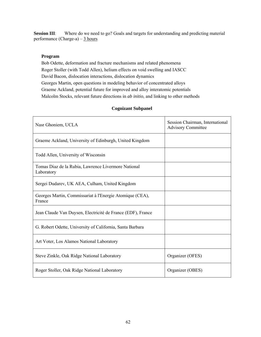**Session III:** Where do we need to go? Goals and targets for understanding and predicting material performance (Charge-a)  $-3$  hours

# **Program**

Bob Odette, deformation and fracture mechanisms and related phenomena Roger Stoller (with Todd Allen), helium effects on void swelling and IASCC David Bacon, dislocation interactions, dislocation dynamics Georges Martin, open questions in modeling behavior of concentrated alloys Graeme Ackland, potential future for improved and alloy interatomic potentials Malcolm Stocks, relevant future directions in *ab initio*, and linking to other methods

| Nasr Ghoniem, UCLA                                                 | Session Chairman, International<br><b>Advisory Committee</b> |
|--------------------------------------------------------------------|--------------------------------------------------------------|
| Graeme Ackland, University of Edinburgh, United Kingdom            |                                                              |
| Todd Allen, University of Wisconsin                                |                                                              |
| Tomas Diaz de la Rubia, Lawrence Livermore National<br>Laboratory  |                                                              |
| Sergei Dudarev, UK AEA, Culham, United Kingdom                     |                                                              |
| Georges Martin, Commissariat à l'Energie Atomique (CEA),<br>France |                                                              |
| Jean Claude Van Duysen, Electricité de France (EDF), France        |                                                              |
| G. Robert Odette, University of California, Santa Barbara          |                                                              |
| Art Voter, Los Alamos National Laboratory                          |                                                              |
| Steve Zinkle, Oak Ridge National Laboratory                        | Organizer (OFES)                                             |
| Roger Stoller, Oak Ridge National Laboratory                       | Organizer (OBES)                                             |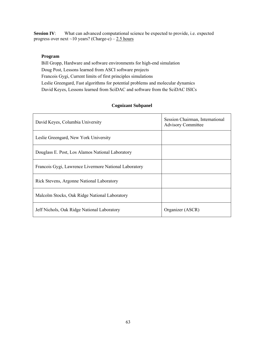**Session IV:** What can advanced computational science be expected to provide, i.e. expected progress over next  $\sim$ 10 years? (Charge-c) – 2.5 hours

# **Program**

Bill Gropp, Hardware and software environments for high-end simulation Doug Post, Lessons learned from ASCI software projects Francois Gygi, Current limits of first principles simulations Leslie Greengard, Fast algorithms for potential problems and molecular dynamics David Keyes, Lessons learned from SciDAC and software from the SciDAC ISICs

| David Keyes, Columbia University                      | Session Chairman, International<br><b>Advisory Committee</b> |
|-------------------------------------------------------|--------------------------------------------------------------|
| Leslie Greengard, New York University                 |                                                              |
| Douglass E. Post, Los Alamos National Laboratory      |                                                              |
| Francois Gygi, Lawrence Livermore National Laboratory |                                                              |
| Rick Stevens, Argonne National Laboratory             |                                                              |
| Malcolm Stocks, Oak Ridge National Laboratory         |                                                              |
| Jeff Nichols, Oak Ridge National Laboratory           | Organizer (ASCR)                                             |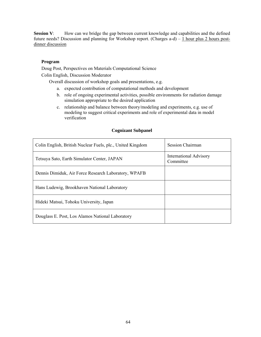**Session V:** How can we bridge the gap between current knowledge and capabilities and the defined future needs? Discussion and planning for Workshop report. (Charges a-d) – 1 hour plus 2 hours postdinner discussion

# **Program**

Doug Post, Perspectives on Materials Computational Science

Colin English, Discussion Moderator

Overall discussion of workshop goals and presentations, e.g.

- a. expected contribution of computational methods and development
- b. role of ongoing experimental activities, possible environments for radiation damage simulation appropriate to the desired application
- c. relationship and balance between theory/modeling and experiments, e.g. use of modeling to suggest critical experiments and role of experimental data in model verification

| Colin English, British Nuclear Fuels, plc., United Kingdom | <b>Session Chairman</b>                    |
|------------------------------------------------------------|--------------------------------------------|
| Tetsuya Sato, Earth Simulator Center, JAPAN                | <b>International Advisory</b><br>Committee |
| Dennis Dimiduk, Air Force Research Laboratory, WPAFB       |                                            |
| Hans Ludewig, Brookhaven National Laboratory               |                                            |
| Hideki Matsui, Tohoku University, Japan                    |                                            |
| Douglass E. Post, Los Alamos National Laboratory           |                                            |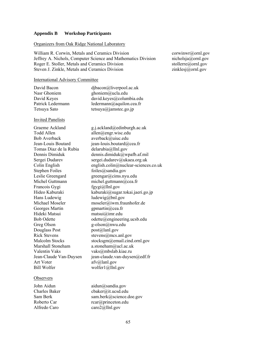## **Appendix B Workshop Participants**

# Organizers from Oak Ridge National Laboratory

William R. Corwin, Metals and Ceramics Division corwinwr@ornl.gov<br>Jeffrey A. Nichols, Computer Science and Mathematics Division nicholsja@ornl.gov Jeffrey A. Nichols, Computer Science and Mathematics Division Roger E. Stoller, Metals and Ceramics Division stollerre@ornl.gov Steven J. Zinkle, Metals and Ceramics Division zinklesj@ornl.gov

# International Advisory Committee

| David Bacon       | djbacon@liverpool.ac.uk  |
|-------------------|--------------------------|
| Nasr Ghoniem      | ghoniem@ucla.edu         |
| David Keyes       | david.keyes@columbia.edu |
| Patrick Ledermann | ledermann@aquilon.cea.fr |
| Tetsuya Sato      | tetsuya@jamstec.go.jp    |

#### Invited Panelists

| Graeme Ackland         | g.j.ackland@edinburgh.ac.uk          |
|------------------------|--------------------------------------|
| Todd Allen             | allen@engr.wisc.edu                  |
| <b>Bob Averback</b>    | averback@uiuc.edu                    |
| Jean-Louis Boutard     | jean-louis.boutard@cea.fr            |
| Tomas Diaz de la Rubia | delarubia@llnl.gov                   |
| Dennis Dimiduk         | dennis.dimiduk@wpafb.af.mil          |
| Sergei Dudarev         | sergei.dudarev@ukaea.org.uk          |
| Colin English          | english.colin@nuclear-sciences.co.uk |
| <b>Stephen Foiles</b>  | foiles@sandia.gov                    |
| Leslie Greengard       | greengar@cims.nyu.edu                |
| Michel Guttmann        | michel.guttmann@cea.fr               |
| Francois Gygi          | fgygi@llnl.gov                       |
| Hideo Kaburaki         | kaburaki@sugar.tokai.jaeri.go.jp     |
| Hans Ludewig           | ludewig@bnl.gov                      |
| Michael Moseler        | moseler@iwm.fraunhofer.de            |
| Georges Martin         | gpmartin@cea.fr                      |
| Hideki Matsui          | matsui@imr.edu                       |
| <b>Bob Odette</b>      | odette@engineering.ucsb.edu          |
| Greg Olson             | g-olson@nwu.edu                      |
| Douglass Post          | post@lanl.gov                        |
| <b>Rick Stevens</b>    | stevens@mcs.anl.gov                  |
| Malcolm Stocks         | stocksgm@email.cind.ornl.gov         |
| Marshall Stoneham      | a.stoneham@ucl.ac.uk                 |
| Valentin Vaks          | vaks@mbslab.kiae.ru                  |
| Jean-Claude Van-Duysen | jean-claude.van-duysen@edf.fr        |
| <b>Art Voter</b>       | afv@lanl.gov                         |
| <b>Bill Wolfer</b>     | wolfer1@llnl.gov                     |
|                        |                                      |

## **Observers**

John Aidun aidun@sandia.gov Charles Baker cbaker@it.ucsd.edu Sam Berk sam.berk@science.doe.gov Roberto Car rear@princeton.edu<br>Alfredo Caro caro2@llnl.gov  $\vec{\text{caro2}}$ @llnl.gov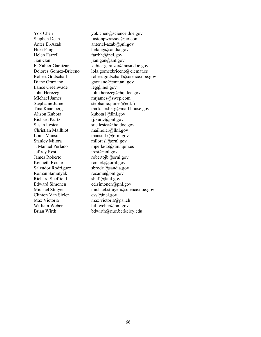Anter El-Azab anter.el-azab@pnl.gov Huei Fang hefang hefang hefang hefang hefang hefang hefang hefang hefang hefang hefang hefang hefang hefang hefang hefang hefang hefang hefang hefang hefang hefang hefang hefang hefang hefang hefang hefang hefang hefang he Helen Farrell farrhh@inel.gov Jian Gan jian.gan@anl.gov Diane Graziano graziano graziano graziano graziano graziano graziano graziano graziano graziano graziano graziano graziano graziano graziano graziano graziano graziano graziano graziano graziano graziano graziano graziano Lance Greenwade leg@inel.gov Michael James mrjames@swcp.com Stephanie Jumel stephanie.jumel@edf.fr Alison Kubota kubota1@llnl.gov Richard Kurtz  $ri.kurtz@pnl.gov$ Susan Lesica sue.lesica@hq.doe.gov Christian Mailhiot mailhoit1@llnl.gov Louis Mansur mansurlk@ornl.gov Stanley Milora milorasl@ornl.gov J. Manuel Perlado mperlado@din.upm.es Jeffrey Rest jrest@anl.gov James Roberto robertojb@ornl.gov Kenneth Roche rochekj@ornl.gov Salvador Rodriguez sbrodri@sandia.gov Roman Samulyak rosamu@bnl.gov Richard Sheffield sheff@lanl.gov Edward Simonen ed.simonen@pnl.gov Clinton Van Siclen cvs@inel.gov Max Victoria max.victoria@psi.ch William Weber bill.weber@pnl.gov<br>Brian Wirth bdwirth@nuc.berkel

Yok Chen yok.chen@science.doe.gov Stephen Dean fusionpwrassoc@aolcom F. Xabier Garaizar xabier.garaizar@nnsa.doe.gov Dolores Gomez-Briceno lola.gomezbriceno@ciemat.es Robert Gottschall robert.gottschall@science.doe.gov John Herczeg john.herczeg@hq.doe.gov Tina Kaarsberg tna.kaarsberg@mail.house.gov Michael Strayer michael.strayer@science.doe.gov bdwirth@nuc.berkeley.edu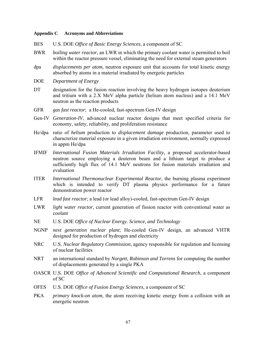#### **Appendix C Acronyms and Abbreviations**

- BES U.S. DOE *Office of Basic Energy Sciences*, a component of SC
- BWR *boiling water reactor*, an LWR in which the primary coolant water is permitted to boil within the reactor pressure vessel, eliminating the need for external steam generators
- dpa *displacements per atom*, neutron exposure unit that accounts for total kinetic energy absorbed by atoms in a material irradiated by energetic particles
- DOE *Department of Energy*
- DT designation for the fusion reaction involving the heavy hydrogen isotopes deuterium and tritium with a 2.X MeV alpha particle (helium atom nucleus) and a 14.1 MeV neutron as the reaction products
- GFR *gas fast reactor*; a He-cooled, fast-spectrum Gen-IV design
- Gen-IV *Generation-IV*, advanced nuclear reactor designs that meet specified criteria for economy, safety, reliability, and proliferation resistance
- He/dpa ratio of *helium* production to *displacement damage* production, parameter used to characterize material exposure in a given irradiation environment, normally expressed in appm He/dpa
- IFMIF *International Fusion Materials Irradiation Facility*, a proposed accelerator-based neutron source employing a deuteron beam and a lithium target to produce a sufficiently high flux of 14.1 MeV neutrons for fusion materials irradiation and evaluation
- ITER *International Thermonuclear Experimental Reactor*, the burning plasma experiment which is intended to verify DT plasma physics performance for a future demonstration power reactor
- LFR *lead fast reactor*; a lead (or lead alloy)-cooled, fast-spectrum Gen-IV design
- LWR *light water reactor*, current generation of fission reactor with conventional water as coolant
- NE U.S. DOE *Office of Nuclear Energy. Science, and Technology*
- NGNP *next generation nuclear plant*; He-cooled Gen-IV design, an advanced VHTR designed for production of hydrogen and electricity
- NRC U.S. *Nuclear Regulatory Commission,* agency responsible for regulation and licensing of nuclear facilities
- NRT an international standard by *Norgett, Robinson and Torrens* for computing the number of displacements generated by a single PKA
- OASCR U.S. DOE *Office of Advanced Scientific and Computational Research*, a component of SC
- OFES U.S. DOE *Office of Fusion Energy Sciences*, a component of SC
- PKA *primary knock-on atom*, the atom receiving kinetic energy from a collision with an energetic neutron